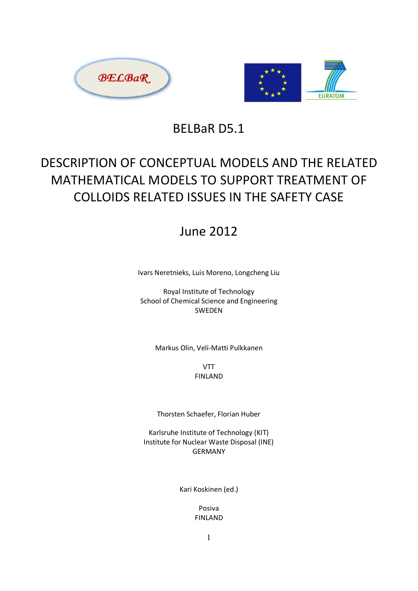



BELBaR D5.1

# DESCRIPTION OF CONCEPTUAL MODELS AND THE RELATED MATHEMATICAL MODELS TO SUPPORT TREATMENT OF COLLOIDS RELATED ISSUES IN THE SAFETY CASE

# **June 2012**

Ivars Neretnieks, Luis Moreno, Longcheng Liu

Royal Institute of Technology School of Chemical Science and Engineering SWFDFN

Markus Olin, Veli-Matti Pulkkanen

**VTT FINLAND** 

Thorsten Schaefer, Florian Huber

Karlsruhe Institute of Technology (KIT) Institute for Nuclear Waste Disposal (INE) **GFRMANY** 

Kari Koskinen (ed.)

Posiva **FINLAND**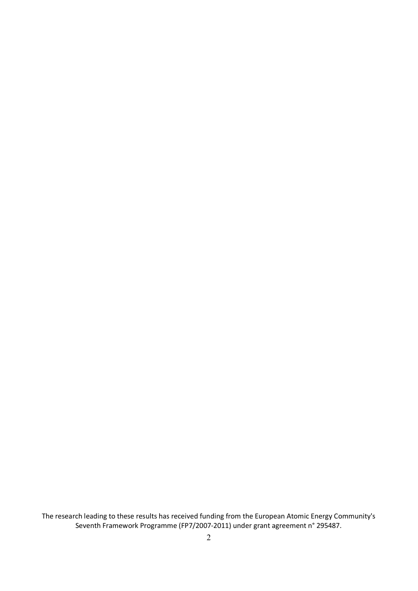The research leading to these results has received funding from the European Atomic Energy Community's Seventh Framework Programme (FP7/2007-2011) under grant agreement n° 295487.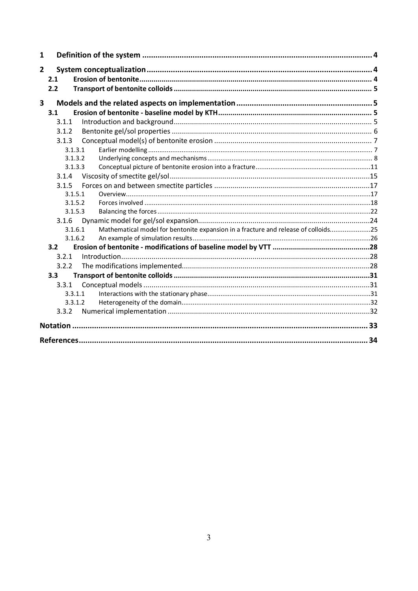| $\mathbf{1}$   |       |         |                                                                                    |  |
|----------------|-------|---------|------------------------------------------------------------------------------------|--|
| $\overline{2}$ |       |         |                                                                                    |  |
|                | 2.1   |         |                                                                                    |  |
|                | 2.2   |         |                                                                                    |  |
|                |       |         |                                                                                    |  |
| 3              |       |         |                                                                                    |  |
|                | 3.1   |         |                                                                                    |  |
|                | 3.1.1 |         |                                                                                    |  |
|                | 3.1.2 |         |                                                                                    |  |
|                | 3.1.3 |         |                                                                                    |  |
|                |       | 3.1.3.1 |                                                                                    |  |
|                |       | 3.1.3.2 |                                                                                    |  |
|                |       | 3.1.3.3 |                                                                                    |  |
|                | 3.1.4 |         |                                                                                    |  |
|                | 3.1.5 |         |                                                                                    |  |
|                |       | 3.1.5.1 |                                                                                    |  |
|                |       | 3.1.5.2 |                                                                                    |  |
|                |       | 3.1.5.3 |                                                                                    |  |
|                | 3.1.6 |         |                                                                                    |  |
|                |       | 3.1.6.1 | Mathematical model for bentonite expansion in a fracture and release of colloids25 |  |
|                |       | 3.1.6.2 |                                                                                    |  |
|                | 3.2   |         |                                                                                    |  |
|                | 3.2.1 |         |                                                                                    |  |
|                | 3.2.2 |         |                                                                                    |  |
|                | 3.3   |         |                                                                                    |  |
|                | 3.3.1 |         |                                                                                    |  |
|                |       | 3.3.1.1 |                                                                                    |  |
|                |       | 3.3.1.2 |                                                                                    |  |
|                | 3.3.2 |         |                                                                                    |  |
|                |       |         |                                                                                    |  |
|                |       |         |                                                                                    |  |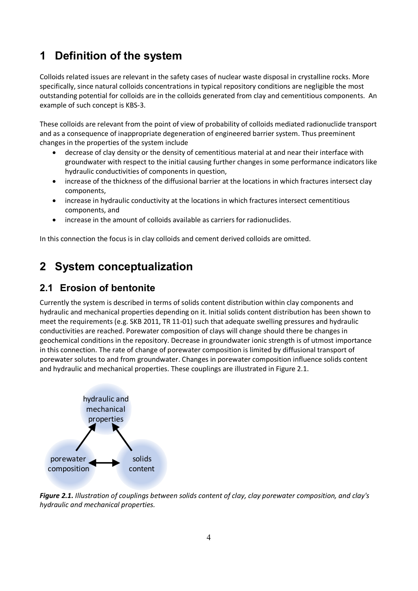## **1 Definition of the system**

Colloids related issues are relevant in the safety cases of nuclear waste disposal in crystalline rocks. More specifically, since natural colloids concentrations in typical repository conditions are negligible the most outstanding potential for colloids are in the colloids generated from clay and cementitious components. An example of such concept is KBS-3.

These colloids are relevant from the point of view of probability of colloids mediated radionuclide transport and as a consequence of inappropriate degeneration of engineered barrier system. Thus preeminent changes in the properties of the system include

- decrease of clay density or the density of cementitious material at and near their interface with groundwater with respect to the initial causing further changes in some performance indicators like hydraulic conductivities of components in question,
- increase of the thickness of the diffusional barrier at the locations in which fractures intersect clay components,
- increase in hydraulic conductivity at the locations in which fractures intersect cementitious components, and
- increase in the amount of colloids available as carriers for radionuclides.

In this connection the focus is in clay colloids and cement derived colloids are omitted.

## **2 System conceptualization**

## **2.1 Erosion of bentonite**

Currently the system is described in terms of solids content distribution within clay components and hydraulic and mechanical properties depending on it. Initial solids content distribution has been shown to meet the requirements (e.g. SKB 2011, TR 11-01) such that adequate swelling pressures and hydraulic conductivities are reached. Porewater composition of clays will change should there be changes in geochemical conditions in the repository. Decrease in groundwater ionic strength is of utmost importance in this connection. The rate of change of porewater composition is limited by diffusional transport of porewater solutes to and from groundwater. Changes in porewater composition influence solids content and hydraulic and mechanical properties. These couplings are illustrated in Figure 2.1.



Figure 2.1. Illustration of couplings between solids content of clay, clay porewater composition, and clay's *hydraulic and mechanical properties.*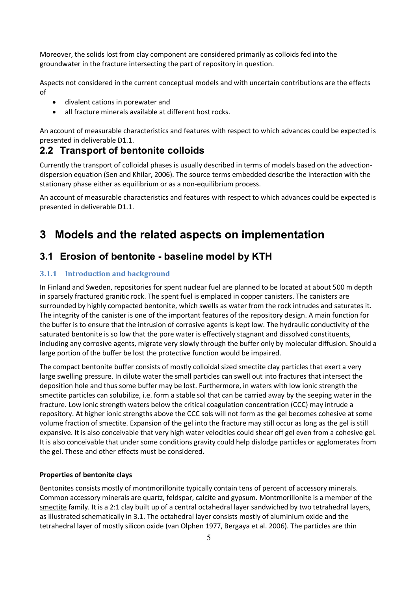Moreover, the solids lost from clay component are considered primarily as colloids fed into the groundwater in the fracture intersecting the part of repository in question.

Aspects not considered in the current conceptual models and with uncertain contributions are the effects of

- divalent cations in porewater and
- $\bullet$  all fracture minerals available at different host rocks.

An account of measurable characteristics and features with respect to which advances could be expected is presented in deliverable D1.1.

### **2.2 Transport of bentonite colloids**

Currently the transport of colloidal phases is usually described in terms of models based on the advectiondispersion equation (Sen and Khilar, 2006). The source terms embedded describe the interaction with the stationary phase either as equilibrium or as a non-equilibrium process.

An account of measurable characteristics and features with respect to which advances could be expected is presented in deliverable D1.1.

## **3 Models and the related aspects on implementation**

### **3.1 Erosion of bentonite - baseline model by KTH**

#### **3.1.1** Introduction and background

In Finland and Sweden, repositories for spent nuclear fuel are planned to be located at about 500 m depth in sparsely fractured granitic rock. The spent fuel is emplaced in copper canisters. The canisters are surrounded by highly compacted bentonite, which swells as water from the rock intrudes and saturates it. The integrity of the canister is one of the important features of the repository design. A main function for the buffer is to ensure that the intrusion of corrosive agents is kept low. The hydraulic conductivity of the saturated bentonite is so low that the pore water is effectively stagnant and dissolved constituents, including any corrosive agents, migrate very slowly through the buffer only by molecular diffusion. Should a large portion of the buffer be lost the protective function would be impaired.

The compact bentonite buffer consists of mostly colloidal sized smectite clay particles that exert a very large swelling pressure. In dilute water the small particles can swell out into fractures that intersect the deposition hole and thus some buffer may be lost. Furthermore, in waters with low ionic strength the smectite particles can solubilize, i.e. form a stable sol that can be carried away by the seeping water in the fracture. Low ionic strength waters below the critical coagulation concentration (CCC) may intrude a repository. At higher ionic strengths above the CCC sols will not form as the gel becomes cohesive at some volume fraction of smectite. Expansion of the gel into the fracture may still occur as long as the gel is still expansive. It is also conceivable that very high water velocities could shear off gel even from a cohesive gel. It is also conceivable that under some conditions gravity could help dislodge particles or agglomerates from the gel. These and other effects must be considered.

#### **Properties of bentonite clays**

Bentonites consists mostly of montmorillonite typically contain tens of percent of accessory minerals. Common accessory minerals are quartz, feldspar, calcite and gypsum. Montmorillonite is a member of the smectite family. It is a 2:1 clay built up of a central octahedral layer sandwiched by two tetrahedral layers, as illustrated schematically in 3.1. The octahedral layer consists mostly of aluminium oxide and the tetrahedral layer of mostly silicon oxide (van Olphen 1977, Bergaya et al. 2006). The particles are thin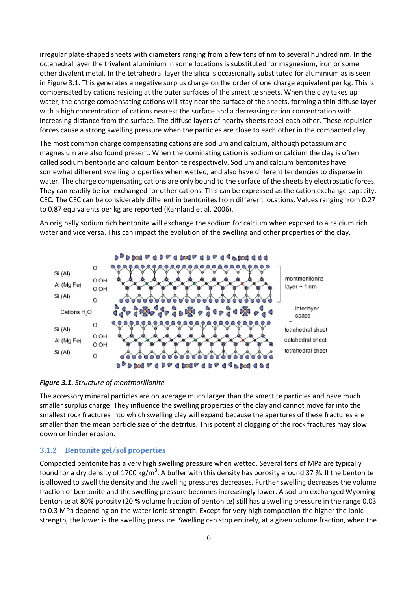irregular plate-shaped sheets with diameters ranging from a few tens of nm to several hundred nm. In the octahedral layer the trivalent aluminium in some locations is substituted for magnesium, iron or some other divalent metal. In the tetrahedral layer the silica is occasionally substituted for aluminium as is seen in Figure 3.1. This generates a negative surplus charge on the order of one charge equivalent per kg. This is compensated by cations residing at the outer surfaces of the smectite sheets. When the clay takes up water, the charge compensating cations will stay near the surface of the sheets, forming a thin diffuse layer with a high concentration of cations nearest the surface and a decreasing cation concentration with increasing distance from the surface. The diffuse layers of nearby sheets repel each other. These repulsion forces cause a strong swelling pressure when the particles are close to each other in the compacted clay.

The most common charge compensating cations are sodium and calcium, although potassium and magnesium are also found present. When the dominating cation is sodium or calcium the clay is often  $\alpha$  called sodium bentonite and calcium bentonite respectively. Sodium and calcium bentonites have somewhat different swelling properties when wetted, and also have different tendencies to disperse in water. The charge compensating cations are only bound to the surface of the sheets by electrostatic forces. They can readily be ion exchanged for other cations. This can be expressed as the cation exchange capacity, EEC. The CEC can be considerably different in bentonites from different locations. Values ranging from 0.27 to 0.87 equivalents per kg are reported (Karnland et al. 2006).

An originally sodium rich bentonite will exchange the sodium for calcium when exposed to a calcium rich water and vice versa. This can impact the evolution of the swelling and other properties of the clay.



**Figure 3.1.** Structure of montmorillonite

The accessory mineral particles are on average much larger than the smectite particles and have much smaller surplus charge. They influence the swelling properties of the clay and cannot move far into the smallest rock fractures into which swelling clay will expand because the apertures of these fractures are smaller than the mean particle size of the detritus. This potential clogging of the rock fractures may slow down or hinder erosion.

#### **3.1.2** Bentonite gel/sol properties

Compacted bentonite has a very high swelling pressure when wetted. Several tens of MPa are typically found for a dry density of 1700 kg/m<sup>3</sup>. A buffer with this density has porosity around 37 %. If the bentonite is allowed to swell the density and the swelling pressures decreases. Further swelling decreases the volume fraction of bentonite and the swelling pressure becomes increasingly lower. A sodium exchanged Wyoming bentonite at 80% porosity (20 % volume fraction of bentonite) still has a swelling pressure in the range 0.03 to 0.3 MPa depending on the water ionic strength. Except for very high compaction the higher the ionic strength, the lower is the swelling pressure. Swelling can stop entirely, at a given volume fraction, when the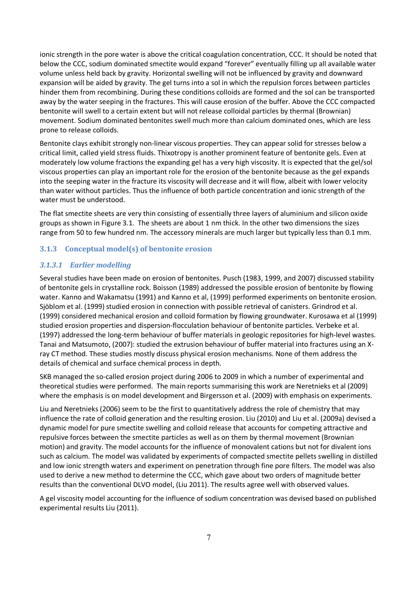ionic strength in the pore water is above the critical coagulation concentration, CCC. It should be noted that below the CCC, sodium dominated smectite would expand "forever" eventually filling up all available water volume unless held back by gravity. Horizontal swelling will not be influenced by gravity and downward expansion will be aided by gravity. The gel turns into a sol in which the repulsion forces between particles hinder them from recombining. During these conditions colloids are formed and the sol can be transported away by the water seeping in the fractures. This will cause erosion of the buffer. Above the CCC compacted bentonite will swell to a certain extent but will not release colloidal particles by thermal (Brownian) movement. Sodium dominated bentonites swell much more than calcium dominated ones, which are less prone to release colloids.

Bentonite clays exhibit strongly non-linear viscous properties. They can appear solid for stresses below a critical limit, called yield stress fluids. Thixotropy is another prominent feature of bentonite gels. Even at moderately low volume fractions the expanding gel has a very high viscosity. It is expected that the gel/sol viscous properties can play an important role for the erosion of the bentonite because as the gel expands into the seeping water in the fracture its viscosity will decrease and it will flow, albeit with lower velocity than water without particles. Thus the influence of both particle concentration and ionic strength of the water must be understood.

The flat smectite sheets are very thin consisting of essentially three layers of aluminium and silicon oxide groups as shown in Figure 3.1. The sheets are about 1 nm thick. In the other two dimensions the sizes range from 50 to few hundred nm. The accessory minerals are much larger but typically less than  $0.1$  mm.

#### **3.1.3** Conceptual model(s) of bentonite erosion

#### **3.1.3.1** Earlier modelling

Several studies have been made on erosion of bentonites. Pusch (1983, 1999, and 2007) discussed stability of bentonite gels in crystalline rock. Boisson (1989) addressed the possible erosion of bentonite by flowing water. Kanno and Wakamatsu (1991) and Kanno et al, (1999) performed experiments on bentonite erosion. Sjöblom et al. (1999) studied erosion in connection with possible retrieval of canisters. Grindrod et al.  $(1999)$  considered mechanical erosion and colloid formation by flowing groundwater. Kurosawa et al  $(1999)$ studied erosion properties and dispersion-flocculation behaviour of bentonite particles. Verbeke et al.  $(1997)$  addressed the long-term behaviour of buffer materials in geologic repositories for high-level wastes. Tanai and Matsumoto, (2007): studied the extrusion behaviour of buffer material into fractures using an Xray CT method. These studies mostly discuss physical erosion mechanisms. None of them address the details of chemical and surface chemical process in depth.

SKB managed the so-called erosion project during 2006 to 2009 in which a number of experimental and theoretical studies were performed. The main reports summarising this work are Neretnieks et al (2009) where the emphasis is on model development and Birgersson et al. (2009) with emphasis on experiments.

Liu and Neretnieks (2006) seem to be the first to quantitatively address the role of chemistry that may influence the rate of colloid generation and the resulting erosion. Liu (2010) and Liu et al. (2009a) devised a dynamic model for pure smectite swelling and colloid release that accounts for competing attractive and repulsive forces between the smectite particles as well as on them by thermal movement (Brownian motion) and gravity. The model accounts for the influence of monovalent cations but not for divalent ions such as calcium. The model was validated by experiments of compacted smectite pellets swelling in distilled and low ionic strength waters and experiment on penetration through fine pore filters. The model was also used to derive a new method to determine the CCC, which gave about two orders of magnitude better results than the conventional DLVO model, (Liu 2011). The results agree well with observed values.

A gel viscosity model accounting for the influence of sodium concentration was devised based on published experimental results Liu (2011).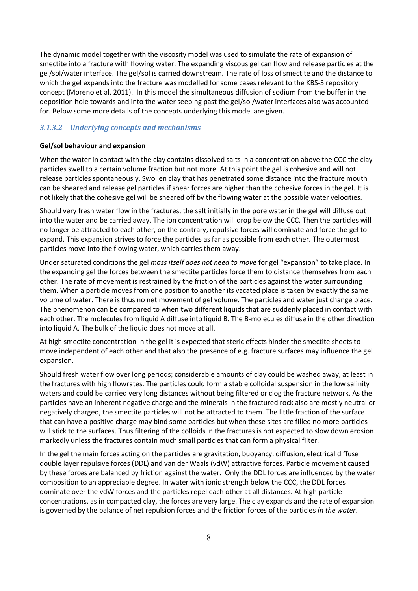The dynamic model together with the viscosity model was used to simulate the rate of expansion of smectite into a fracture with flowing water. The expanding viscous gel can flow and release particles at the gel/sol/water interface. The gel/sol is carried downstream. The rate of loss of smectite and the distance to which the gel expands into the fracture was modelled for some cases relevant to the KBS-3 repository concept (Moreno et al. 2011). In this model the simultaneous diffusion of sodium from the buffer in the deposition hole towards and into the water seeping past the gel/sol/water interfaces also was accounted for. Below some more details of the concepts underlying this model are given.

#### 3.1.3.2 Underlying concepts and mechanisms

#### Gel/sol behaviour and expansion

When the water in contact with the clay contains dissolved salts in a concentration above the CCC the clay particles swell to a certain volume fraction but not more. At this point the gel is cohesive and will not release particles spontaneously. Swollen clay that has penetrated some distance into the fracture mouth can be sheared and release gel particles if shear forces are higher than the cohesive forces in the gel. It is not likely that the cohesive gel will be sheared off by the flowing water at the possible water velocities.

Should very fresh water flow in the fractures, the salt initially in the pore water in the gel will diffuse out into the water and be carried away. The ion concentration will drop below the CCC. Then the particles will no longer be attracted to each other, on the contrary, repulsive forces will dominate and force the gel to expand. This expansion strives to force the particles as far as possible from each other. The outermost particles move into the flowing water, which carries them away.

Under saturated conditions the gel mass itself does not need to move for gel "expansion" to take place. In the expanding gel the forces between the smectite particles force them to distance themselves from each other. The rate of movement is restrained by the friction of the particles against the water surrounding them. When a particle moves from one position to another its vacated place is taken by exactly the same volume of water. There is thus no net movement of gel volume. The particles and water just change place. The phenomenon can be compared to when two different liquids that are suddenly placed in contact with each other. The molecules from liquid A diffuse into liquid B. The B-molecules diffuse in the other direction into liquid A. The bulk of the liquid does not move at all.

At high smectite concentration in the gel it is expected that steric effects hinder the smectite sheets to move independent of each other and that also the presence of e.g. fracture surfaces may influence the gel expansion.

Should fresh water flow over long periods; considerable amounts of clay could be washed away, at least in the fractures with high flowrates. The particles could form a stable colloidal suspension in the low salinity waters and could be carried very long distances without being filtered or clog the fracture network. As the particles have an inherent negative charge and the minerals in the fractured rock also are mostly neutral or negatively charged, the smectite particles will not be attracted to them. The little fraction of the surface that can have a positive charge may bind some particles but when these sites are filled no more particles will stick to the surfaces. Thus filtering of the colloids in the fractures is not expected to slow down erosion markedly unless the fractures contain much small particles that can form a physical filter.

In the gel the main forces acting on the particles are gravitation, buoyancy, diffusion, electrical diffuse double layer repulsive forces (DDL) and van der Waals (vdW) attractive forces. Particle movement caused by these forces are balanced by friction against the water. Only the DDL forces are influenced by the water composition to an appreciable degree. In water with ionic strength below the CCC, the DDL forces dominate over the vdW forces and the particles repel each other at all distances. At high particle concentrations, as in compacted clay, the forces are very large. The clay expands and the rate of expansion is governed by the balance of net repulsion forces and the friction forces of the particles in the water.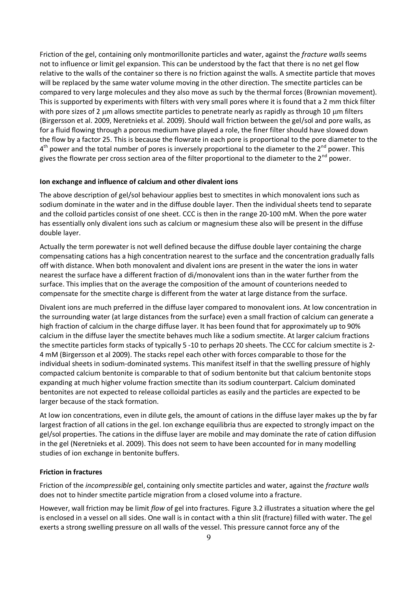Friction of the gel, containing only montmorillonite particles and water, against the fracture walls seems not to influence or limit gel expansion. This can be understood by the fact that there is no net gel flow relative to the walls of the container so there is no friction against the walls. A smectite particle that moves will be replaced by the same water volume moving in the other direction. The smectite particles can be compared to very large molecules and they also move as such by the thermal forces (Brownian movement). This is supported by experiments with filters with very small pores where it is found that a 2 mm thick filter with pore sizes of 2 µm allows smectite particles to penetrate nearly as rapidly as through 10 µm filters (Birgersson et al. 2009, Neretnieks et al. 2009). Should wall friction between the gel/sol and pore walls, as for a fluid flowing through a porous medium have played a role, the finer filter should have slowed down the flow by a factor 25. This is because the flowrate in each pore is proportional to the pore diameter to the  $4<sup>th</sup>$  power and the total number of pores is inversely proportional to the diameter to the  $2<sup>nd</sup>$  power. This gives the flowrate per cross section area of the filter proportional to the diameter to the 2<sup>nd</sup> power.

#### Ion exchange and influence of calcium and other divalent ions

The above description of gel/sol behaviour applies best to smectites in which monovalent ions such as sodium dominate in the water and in the diffuse double layer. Then the individual sheets tend to separate and the colloid particles consist of one sheet. CCC is then in the range 20-100 mM. When the pore water has essentially only divalent ions such as calcium or magnesium these also will be present in the diffuse double layer.

Actually the term porewater is not well defined because the diffuse double layer containing the charge compensating cations has a high concentration nearest to the surface and the concentration gradually falls off with distance. When both monovalent and divalent ions are present in the water the ions in water nearest the surface have a different fraction of di/monovalent ions than in the water further from the surface. This implies that on the average the composition of the amount of counterions needed to compensate for the smectite charge is different from the water at large distance from the surface.

Divalent ions are much preferred in the diffuse layer compared to monovalent ions. At low concentration in the surrounding water (at large distances from the surface) even a small fraction of calcium can generate a high fraction of calcium in the charge diffuse layer. It has been found that for approximately up to 90% calcium in the diffuse layer the smectite behaves much like a sodium smectite. At larger calcium fractions the smectite particles form stacks of typically 5 -10 to perhaps 20 sheets. The CCC for calcium smectite is 2-4 mM (Birgersson et al 2009). The stacks repel each other with forces comparable to those for the individual sheets in sodium-dominated systems. This manifest itself in that the swelling pressure of highly compacted calcium bentonite is comparable to that of sodium bentonite but that calcium bentonite stops expanding at much higher volume fraction smectite than its sodium counterpart. Calcium dominated bentonites are not expected to release colloidal particles as easily and the particles are expected to be larger because of the stack formation.

At low ion concentrations, even in dilute gels, the amount of cations in the diffuse layer makes up the by far largest fraction of all cations in the gel. Ion exchange equilibria thus are expected to strongly impact on the gel/sol properties. The cations in the diffuse layer are mobile and may dominate the rate of cation diffusion in the gel (Neretnieks et al. 2009). This does not seem to have been accounted for in many modelling studies of ion exchange in bentonite buffers.

#### **Friction in fractures**

Friction of the *incompressible* gel, containing only smectite particles and water, against the *fracture walls* does not to hinder smectite particle migration from a closed volume into a fracture.

However, wall friction may be limit flow of gel into fractures. Figure 3.2 illustrates a situation where the gel is enclosed in a vessel on all sides. One wall is in contact with a thin slit (fracture) filled with water. The gel exerts a strong swelling pressure on all walls of the vessel. This pressure cannot force any of the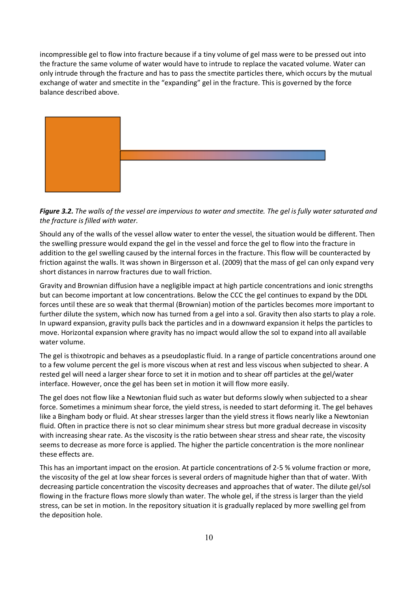incompressible gel to flow into fracture because if a tiny volume of gel mass were to be pressed out into the fracture the same volume of water would have to intrude to replace the vacated volume. Water can only intrude through the fracture and has to pass the smectite particles there, which occurs by the mutual exchange of water and smectite in the "expanding" gel in the fracture. This is governed by the force balance described above.



Figure 3.2. The walls of the vessel are impervious to water and smectite. The gel is fully water saturated and the fracture is filled with water.

Should any of the walls of the vessel allow water to enter the vessel, the situation would be different. Then the swelling pressure would expand the gel in the vessel and force the gel to flow into the fracture in addition to the gel swelling caused by the internal forces in the fracture. This flow will be counteracted by friction against the walls. It was shown in Birgersson et al. (2009) that the mass of gel can only expand very short distances in narrow fractures due to wall friction.

Gravity and Brownian diffusion have a negligible impact at high particle concentrations and ionic strengths but can become important at low concentrations. Below the CCC the gel continues to expand by the DDL forces until these are so weak that thermal (Brownian) motion of the particles becomes more important to further dilute the system, which now has turned from a gel into a sol. Gravity then also starts to play a role. In upward expansion, gravity pulls back the particles and in a downward expansion it helps the particles to move. Horizontal expansion where gravity has no impact would allow the sol to expand into all available water volume.

The gel is thixotropic and behaves as a pseudoplastic fluid. In a range of particle concentrations around one to a few volume percent the gel is more viscous when at rest and less viscous when subjected to shear. A rested gel will need a larger shear force to set it in motion and to shear off particles at the gel/water interface. However, once the gel has been set in motion it will flow more easily.

The gel does not flow like a Newtonian fluid such as water but deforms slowly when subjected to a shear force. Sometimes a minimum shear force, the yield stress, is needed to start deforming it. The gel behaves like a Bingham body or fluid. At shear stresses larger than the yield stress it flows nearly like a Newtonian fluid. Often in practice there is not so clear minimum shear stress but more gradual decrease in viscosity with increasing shear rate. As the viscosity is the ratio between shear stress and shear rate, the viscosity seems to decrease as more force is applied. The higher the particle concentration is the more nonlinear these effects are.

This has an important impact on the erosion. At particle concentrations of 2-5 % volume fraction or more, the viscosity of the gel at low shear forces is several orders of magnitude higher than that of water. With decreasing particle concentration the viscosity decreases and approaches that of water. The dilute gel/sol flowing in the fracture flows more slowly than water. The whole gel, if the stress is larger than the yield stress, can be set in motion. In the repository situation it is gradually replaced by more swelling gel from the deposition hole.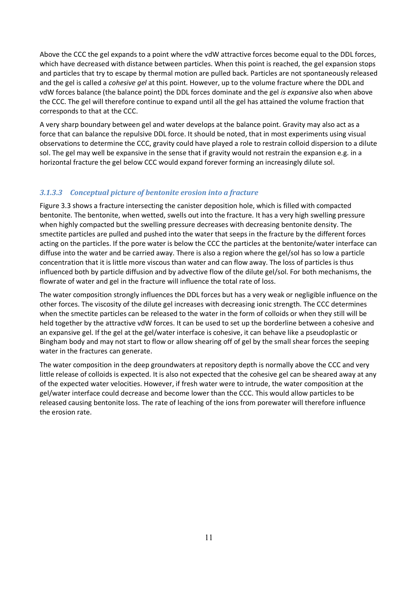Above the CCC the gel expands to a point where the vdW attractive forces become equal to the DDL forces, which have decreased with distance between particles. When this point is reached, the gel expansion stops and particles that try to escape by thermal motion are pulled back. Particles are not spontaneously released and the gel is called a *cohesive gel* at this point. However, up to the volume fracture where the DDL and ydW forces balance (the balance point) the DDL forces dominate and the gel *is expansive* also when above the CCC. The gel will therefore continue to expand until all the gel has attained the volume fraction that corresponds to that at the CCC.

A very sharp boundary between gel and water develops at the balance point. Gravity may also act as a force that can balance the repulsive DDL force. It should be noted, that in most experiments using visual observations to determine the CCC, gravity could have played a role to restrain colloid dispersion to a dilute sol. The gel may well be expansive in the sense that if gravity would not restrain the expansion e.g. in a horizontal fracture the gel below CCC would expand forever forming an increasingly dilute sol.

#### 3.1.3.3 Conceptual picture of bentonite erosion into a fracture

Figure 3.3 shows a fracture intersecting the canister deposition hole, which is filled with compacted bentonite. The bentonite, when wetted, swells out into the fracture. It has a very high swelling pressure when highly compacted but the swelling pressure decreases with decreasing bentonite density. The smectite particles are pulled and pushed into the water that seeps in the fracture by the different forces acting on the particles. If the pore water is below the CCC the particles at the bentonite/water interface can diffuse into the water and be carried away. There is also a region where the gel/sol has so low a particle  $\tilde{\Gamma}^j$  concentration that it is little more viscous than water and can flow away. The loss of particles is thus influenced both by particle diffusion and by advective flow of the dilute gel/sol. For both mechanisms, the flowrate of water and gel in the fracture will influence the total rate of loss.

The water composition strongly influences the DDL forces but has a very weak or negligible influence on the other forces. The viscosity of the dilute gel increases with decreasing ionic strength. The CCC determines when the smectite particles can be released to the water in the form of colloids or when they still will be held together by the attractive vdW forces. It can be used to set up the borderline between a cohesive and an expansive gel. If the gel at the gel/water interface is cohesive, it can behave like a pseudoplastic or Bingham body and may not start to flow or allow shearing off of gel by the small shear forces the seeping water in the fractures can generate.

The water composition in the deep groundwaters at repository depth is normally above the CCC and very little release of colloids is expected. It is also not expected that the cohesive gel can be sheared away at any of the expected water velocities. However, if fresh water were to intrude, the water composition at the  $g$ el/water interface could decrease and become lower than the CCC. This would allow particles to be released causing bentonite loss. The rate of leaching of the ions from porewater will therefore influence the erosion rate.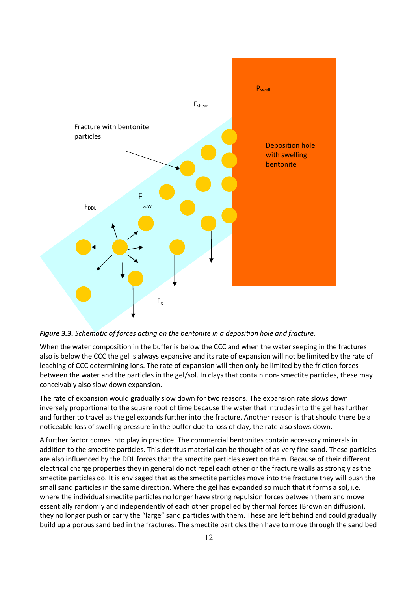



When the water composition in the buffer is below the CCC and when the water seeping in the fractures also is below the CCC the gel is always expansive and its rate of expansion will not be limited by the rate of leaching of CCC determining ions. The rate of expansion will then only be limited by the friction forces between the water and the particles in the gel/sol. In clays that contain non- smectite particles, these may conceivably also slow down expansion.

The rate of expansion would gradually slow down for two reasons. The expansion rate slows down inversely proportional to the square root of time because the water that intrudes into the gel has further and further to travel as the gel expands further into the fracture. Another reason is that should there be a noticeable loss of swelling pressure in the buffer due to loss of clay, the rate also slows down.

A further factor comes into play in practice. The commercial bentonites contain accessory minerals in addition to the smectite particles. This detritus material can be thought of as very fine sand. These particles are also influenced by the DDL forces that the smectite particles exert on them. Because of their different electrical charge properties they in general do not repel each other or the fracture walls as strongly as the smectite particles do. It is envisaged that as the smectite particles move into the fracture they will push the small sand particles in the same direction. Where the gel has expanded so much that it forms a sol, i.e. where the individual smectite particles no longer have strong repulsion forces between them and move essentially randomly and independently of each other propelled by thermal forces (Brownian diffusion), they no longer push or carry the "large" sand particles with them. These are left behind and could gradually build up a porous sand bed in the fractures. The smectite particles then have to move through the sand bed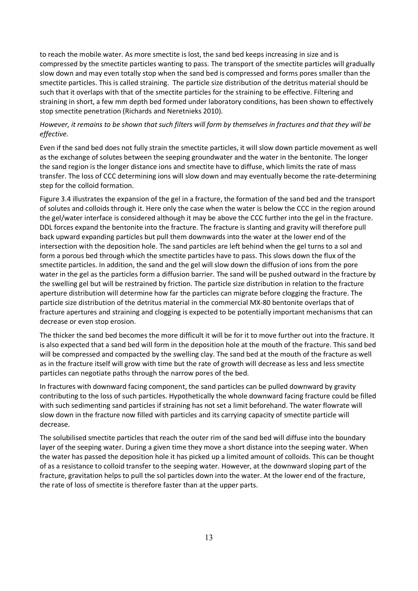to reach the mobile water. As more smectite is lost, the sand bed keeps increasing in size and is compressed by the smectite particles wanting to pass. The transport of the smectite particles will gradually slow down and may even totally stop when the sand bed is compressed and forms pores smaller than the smectite particles. This is called straining. The particle size distribution of the detritus material should be such that it overlaps with that of the smectite particles for the straining to be effective. Filtering and straining in short, a few mm depth bed formed under laboratory conditions, has been shown to effectively stop smectite penetration (Richards and Neretnieks 2010).

#### However, it remains to be shown that such filters will form by themselves in fractures and that they will be  $effective.$

Even if the sand bed does not fully strain the smectite particles, it will slow down particle movement as well as the exchange of solutes between the seeping groundwater and the water in the bentonite. The longer the sand region is the longer distance ions and smectite have to diffuse, which limits the rate of mass transfer. The loss of CCC determining ions will slow down and may eventually become the rate-determining step for the colloid formation.

Figure 3.4 illustrates the expansion of the gel in a fracture, the formation of the sand bed and the transport of solutes and colloids through it. Here only the case when the water is below the CCC in the region around the gel/water interface is considered although it may be above the CCC further into the gel in the fracture. DDL forces expand the bentonite into the fracture. The fracture is slanting and gravity will therefore pull back upward expanding particles but pull them downwards into the water at the lower end of the intersection with the deposition hole. The sand particles are left behind when the gel turns to a sol and form a porous bed through which the smectite particles have to pass. This slows down the flux of the smectite particles. In addition, the sand and the gel will slow down the diffusion of ions from the pore water in the gel as the particles form a diffusion barrier. The sand will be pushed outward in the fracture by the swelling gel but will be restrained by friction. The particle size distribution in relation to the fracture aperture distribution will determine how far the particles can migrate before clogging the fracture. The particle size distribution of the detritus material in the commercial MX-80 bentonite overlaps that of fracture apertures and straining and clogging is expected to be potentially important mechanisms that can decrease or even stop erosion.

The thicker the sand bed becomes the more difficult it will be for it to move further out into the fracture. It is also expected that a sand bed will form in the deposition hole at the mouth of the fracture. This sand bed will be compressed and compacted by the swelling clay. The sand bed at the mouth of the fracture as well as in the fracture itself will grow with time but the rate of growth will decrease as less and less smectite particles can negotiate paths through the narrow pores of the bed.

In fractures with downward facing component, the sand particles can be pulled downward by gravity contributing to the loss of such particles. Hypothetically the whole downward facing fracture could be filled with such sedimenting sand particles if straining has not set a limit beforehand. The water flowrate will slow down in the fracture now filled with particles and its carrying capacity of smectite particle will decrease.

The solubilised smectite particles that reach the outer rim of the sand bed will diffuse into the boundary layer of the seeping water. During a given time they move a short distance into the seeping water. When the water has passed the deposition hole it has picked up a limited amount of colloids. This can be thought of as a resistance to colloid transfer to the seeping water. However, at the downward sloping part of the fracture, gravitation helps to pull the sol particles down into the water. At the lower end of the fracture, the rate of loss of smectite is therefore faster than at the upper parts.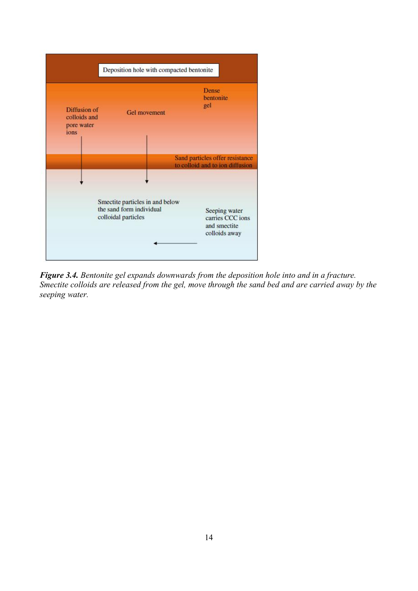

Figure 3.4. Bentonite gel expands downwards from the deposition hole into and in a fracture. Smectite colloids are released from the gel, move through the sand bed and are carried away by the seeping water.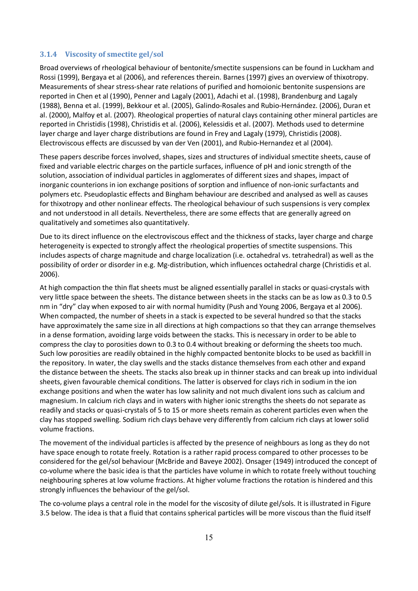#### **3.1.4** Viscosity of smectite gel/sol

Broad overviews of rheological behaviour of bentonite/smectite suspensions can be found in Luckham and Rossi (1999), Bergaya et al (2006), and references therein. Barnes (1997) gives an overview of thixotropy. Measurements of shear stress-shear rate relations of purified and homoionic bentonite suspensions are reported in Chen et al (1990), Penner and Lagaly (2001), Adachi et al. (1998), Brandenburg and Lagaly (1988), Benna et al. (1999), Bekkour et al. (2005), Galindo-Rosales and Rubio-Hernández. (2006), Duran et al. (2000), Malfoy et al. (2007). Rheological properties of natural clays containing other mineral particles are reported in Christidis (1998), Christidis et al. (2006), Kelessidis et al. (2007). Methods used to determine layer charge and layer charge distributions are found in Frey and Lagaly (1979), Christidis (2008). Electroviscous effects are discussed by van der Ven (2001), and Rubio-Hernandez et al (2004).

These papers describe forces involved, shapes, sizes and structures of individual smectite sheets, cause of fixed and variable electric charges on the particle surfaces, influence of  $pH$  and ionic strength of the solution, association of individual particles in agglomerates of different sizes and shapes, impact of inorganic counterions in ion exchange positions of sorption and influence of non-ionic surfactants and polymers etc. Pseudoplastic effects and Bingham behaviour are described and analysed as well as causes for thixotropy and other nonlinear effects. The rheological behaviour of such suspensions is very complex and not understood in all details. Nevertheless, there are some effects that are generally agreed on qualitatively and sometimes also quantitatively.

Due to its direct influence on the electroviscous effect and the thickness of stacks, layer charge and charge heterogeneity is expected to strongly affect the rheological properties of smectite suspensions. This includes aspects of charge magnitude and charge localization (i.e. octahedral vs. tetrahedral) as well as the possibility of order or disorder in e.g. Mg-distribution, which influences octahedral charge (Christidis et al. 2006).

At high compaction the thin flat sheets must be aligned essentially parallel in stacks or quasi-crystals with very little space between the sheets. The distance between sheets in the stacks can be as low as 0.3 to 0.5 nm in "dry" clay when exposed to air with normal humidity (Push and Young 2006, Bergaya et al 2006). When compacted, the number of sheets in a stack is expected to be several hundred so that the stacks have approximately the same size in all directions at high compactions so that they can arrange themselves in a dense formation, avoiding large voids between the stacks. This is necessary in order to be able to compress the clay to porosities down to 0.3 to 0.4 without breaking or deforming the sheets too much. Such low porosities are readily obtained in the highly compacted bentonite blocks to be used as backfill in the repository. In water, the clay swells and the stacks distance themselves from each other and expand the distance between the sheets. The stacks also break up in thinner stacks and can break up into individual sheets, given favourable chemical conditions. The latter is observed for clays rich in sodium in the ion exchange positions and when the water has low salinity and not much divalent ions such as calcium and magnesium. In calcium rich clays and in waters with higher ionic strengths the sheets do not separate as readily and stacks or quasi-crystals of 5 to 15 or more sheets remain as coherent particles even when the clay has stopped swelling. Sodium rich clays behave very differently from calcium rich clays at lower solid volume fractions.

The movement of the individual particles is affected by the presence of neighbours as long as they do not have space enough to rotate freely. Rotation is a rather rapid process compared to other processes to be considered for the gel/sol behaviour (McBride and Baveye 2002). Onsager (1949) introduced the concept of co-volume where the basic idea is that the particles have volume in which to rotate freely without touching neighbouring spheres at low volume fractions. At higher volume fractions the rotation is hindered and this strongly influences the behaviour of the gel/sol.

The co-volume plays a central role in the model for the viscosity of dilute gel/sols. It is illustrated in Figure 3.5 below. The idea is that a fluid that contains spherical particles will be more viscous than the fluid itself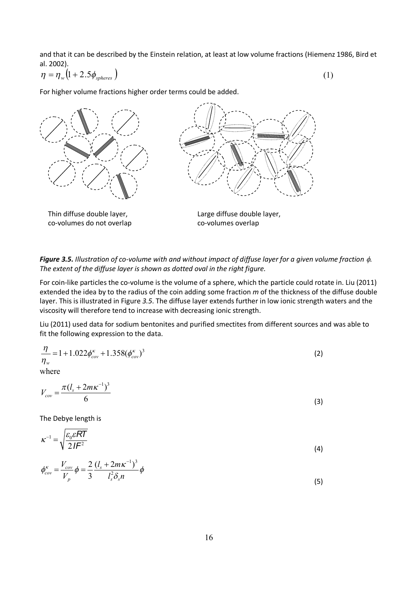and that it can be described by the Einstein relation, at least at low volume fractions (Hiemenz 1986, Bird et al. 2002).

$$
\eta = \eta_{w} \left( 1 + 2.5 \phi_{spheres} \right) \tag{1}
$$

For higher volume fractions higher order terms could be added.



Thin diffuse double layer, co-volumes do not overlap



Large diffuse double layer, co-volumes overlap

**Figure 3.5.** Illustration of co-volume with and without impact of diffuse layer for a given volume fraction  $\phi$ . The extent of the diffuse layer is shown as dotted oval in the right figure.

For coin-like particles the co-volume is the volume of a sphere, which the particle could rotate in. Liu (2011) extended the idea by to the radius of the coin adding some fraction m of the thickness of the diffuse double layer. This is illustrated in Figure 3.5. The diffuse layer extends further in low ionic strength waters and the viscosity will therefore tend to increase with decreasing ionic strength.

Liu (2011) used data for sodium bentonites and purified smectites from different sources and was able to fit the following expression to the data.

$$
\frac{\eta}{\eta_w} = 1 + 1.022 \phi_{cov}^{\kappa} + 1.358 (\phi_{cov}^{\kappa})^3
$$
 (2)

where

$$
V_{cov} = \frac{\pi (l_s + 2m\kappa^{-1})^3}{6}
$$
 (3)

The Debye length is

$$
\kappa^{-1} = \sqrt{\frac{\varepsilon_0 \varepsilon RT}{2IF^2}}
$$
 (4)

$$
\phi_{cov}^{\kappa} = \frac{V_{cov}}{V_p} \phi = \frac{2}{3} \frac{(l_s + 2m\kappa^{-1})^3}{l_s^2 \delta_s n} \phi
$$
\n(5)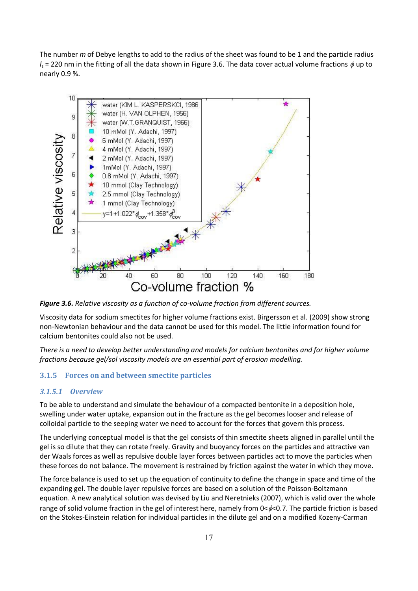The number  $m$  of Debye lengths to add to the radius of the sheet was found to be 1 and the particle radius  $J_s$  = 220 nm in the fitting of all the data shown in Figure 3.6. The data cover actual volume fractions  $\phi$  up to nearly  $0.9$ %.



Figure 3.6. Relative viscosity as a function of co-volume fraction from different sources.

Viscosity data for sodium smectites for higher volume fractions exist. Birgersson et al. (2009) show strong non-Newtonian behaviour and the data cannot be used for this model. The little information found for  $\alpha$ alcium bentonites could also not be used.

*There is a need to develop better understanding and models for calcium bentonites and for higher volume* fractions because gel/sol viscosity models are an essential part of erosion modelling.

#### **3.1.5 Forces on and between smectite particles**

#### **3.1.5.1 Overview**

To be able to understand and simulate the behaviour of a compacted bentonite in a deposition hole, swelling under water uptake, expansion out in the fracture as the gel becomes looser and release of  $\mathbf x$ colloidal particle to the seeping water we need to account for the forces that govern this process.

The underlying conceptual model is that the gel consists of thin smectite sheets aligned in parallel until the gel is so dilute that they can rotate freely. Gravity and buoyancy forces on the particles and attractive van der Waals forces as well as repulsive double layer forces between particles act to move the particles when these forces do not balance. The movement is restrained by friction against the water in which they move.

The force balance is used to set up the equation of continuity to define the change in space and time of the expanding gel. The double layer repulsive forces are based on a solution of the Poisson-Boltzmann equation. A new analytical solution was devised by Liu and Neretnieks (2007), which is valid over the whole range of solid volume fraction in the gel of interest here, namely from  $0<\!\phi<0.7$ . The particle friction is based on the Stokes-Einstein relation for individual particles in the dilute gel and on a modified Kozeny-Carman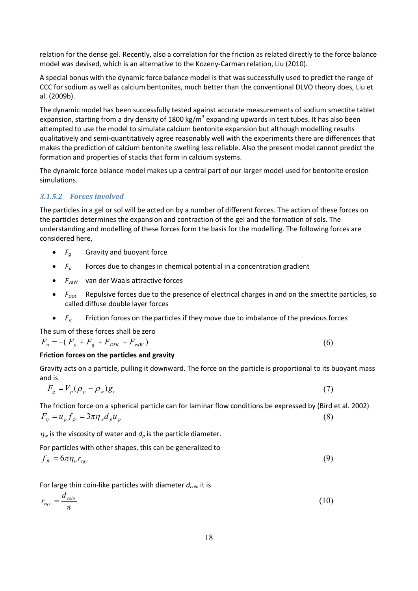relation for the dense gel. Recently, also a correlation for the friction as related directly to the force balance model was devised, which is an alternative to the Kozeny-Carman relation, Liu (2010).

A special bonus with the dynamic force balance model is that was successfully used to predict the range of CCC for sodium as well as calcium bentonites, much better than the conventional DLVO theory does, Liu et al. (2009b).

The dynamic model has been successfully tested against accurate measurements of sodium smectite tablet expansion, starting from a dry density of 1800 kg/m<sup>3</sup> expanding upwards in test tubes. It has also been attempted to use the model to simulate calcium bentonite expansion but although modelling results qualitatively and semi-quantitatively agree reasonably well with the experiments there are differences that makes the prediction of calcium bentonite swelling less reliable. Also the present model cannot predict the formation and properties of stacks that form in calcium systems.

The dynamic force balance model makes up a central part of our larger model used for bentonite erosion simulations.

#### 3.1.5.2 Forces involved

The particles in a gel or sol will be acted on by a number of different forces. The action of these forces on the particles determines the expansion and contraction of the gel and the formation of sols. The understanding and modelling of these forces form the basis for the modelling. The following forces are considered here.

- $F_a$  Gravity and buoyant force
- $F_u$  Forces due to changes in chemical potential in a concentration gradient
- $F_{vdW}$  van der Waals attractive forces
- *F<sub>nni</sub>* Repulsive forces due to the presence of electrical charges in and on the smectite particles, so called diffuse double layer forces

(6)

(9)

•  $F_n$  Friction forces on the particles if they move due to imbalance of the previous forces

The sum of these forces shall be zero

 $F_n = -( F_\mu + F_g + F_{DDL} + F_{vdW})$ 

#### Friction forces on the particles and gravity

Gravity acts on a particle, pulling it downward. The force on the particle is proportional to its buoyant mass and is

$$
F_g = V_p (\rho_p - \rho_w) g_c \tag{7}
$$

The friction force on a spherical particle can for laminar flow conditions be expressed by (Bird et al. 2002) (8)  $F_n = u_p f_{fr} = 3\pi \eta_w d_p u_p$ 

 $\eta_w$  is the viscosity of water and  $d_o$  is the particle diameter.

For particles with other shapes, this can be generalized to

$$
f_{fr} = 6\pi \eta_w r_{eqv}
$$

For large thin coin-like particles with diameter  $d_{\text{coin}}$  it is

$$
r_{eqv} = \frac{d_{\text{coin}}}{\pi} \tag{10}
$$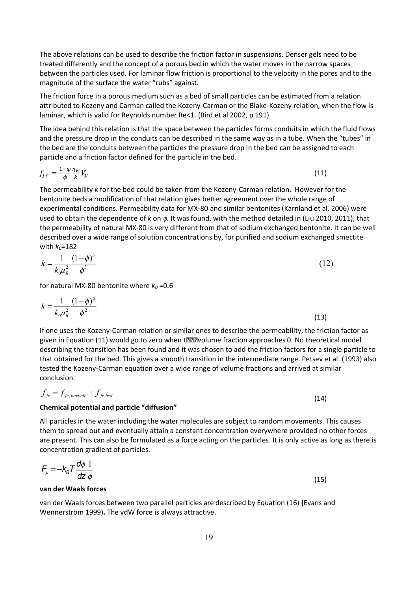The above relations can be used to describe the friction factor in suspensions. Denser gels need to be treated differently and the concept of a porous bed in which the water moves in the narrow spaces between the particles used. For laminar flow friction is proportional to the velocity in the pores and to the magnitude of the surface the water "rubs" against.

The friction force in a porous medium such as a bed of small particles can be estimated from a relation attributed to Kozeny and Carman called the Kozeny-Carman or the Blake-Kozeny relation, when the flow is laminar, which is valid for Reynolds number Re<1. (Bird et al 2002,  $p$  191)

The idea behind this relation is that the space between the particles forms conduits in which the fluid flows and the pressure drop in the conduits can be described in the same way as in a tube. When the "tubes" in the bed are the conduits between the particles the pressure drop in the bed can be assigned to each particle and a friction factor defined for the particle in the bed.

$$
f_{fr} = \frac{1-\phi}{\phi} \frac{\eta_w}{k} V_p \tag{11}
$$

The permeability k for the bed could be taken from the Kozeny-Carman relation. However for the bentonite beds a modification of that relation gives better agreement over the whole range of experimental conditions. Permeability data for MX-80 and similar bentonites (Karnland et al. 2006) were used to obtain the dependence of  $k$  on  $\phi$ . It was found, with the method detailed in (Liu 2010, 2011), that the permeability of natural MX-80 is very different from that of sodium exchanged bentonite. It can be well described over a wide range of solution concentrations by, for purified and sodium exchanged smectite with  $k_0$ =182

$$
k = \frac{1}{k_0 a_R^2} \frac{(1 - \phi)^3}{\phi^3} \tag{12}
$$

for natural MX-80 bentonite where  $k_0 = 0.6$ 

$$
k = \frac{1}{k_0 a_R^2} \frac{(1 - \phi)^6}{\phi^2}
$$
 (13)

If one uses the Kozeny-Carman relation or similar ones to describe the permeability, the friction factor as given in Equation (11) would go to zero when t $\mathbb D$   $\mathbb D$  volume fraction approaches 0. No theoretical model describing the transition has been found and it was chosen to add the friction factors for a single particle to that obtained for the bed. This gives a smooth transition in the intermediate range. Petsev et al. (1993) also tested the Kozeny-Carman equation over a wide range of volume fractions and arrived at similar conclusion.

$$
f_{\textit{fr}} = f_{\textit{fr}, \textit{particle}} + f_{\textit{fr}, \textit{bed}}
$$

#### **Chemical potential and particle "diffusion"**

All particles in the water including the water molecules are subject to random movements. This causes them to spread out and eventually attain a constant concentration everywhere provided no other forces are present. This can also be formulated as a force acting on the particles. It is only active as long as there is concentration gradient of particles.

$$
F_{\mu} = -k_B T \frac{d\phi}{dz} \frac{1}{\phi}
$$
 (15)

#### **van der Waals forces**

van der Waals forces between two parallel particles are described by Equation (16) (Evans and Wennerström 1999). The vdW force is always attractive.

 $(14)$ 

(TD)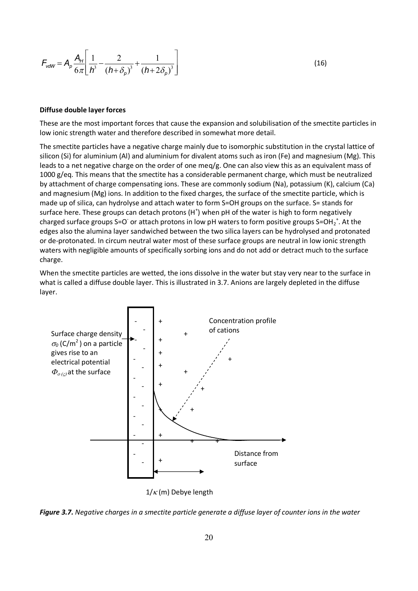$$
F_{\text{vdW}} = A_p \frac{A_H}{6\pi} \left[ \frac{1}{h^3} - \frac{2}{(h + \delta_p)^3} + \frac{1}{(h + 2\delta_p)^3} \right]
$$
(16)

#### Diffuse double layer forces

These are the most important forces that cause the expansion and solubilisation of the smectite particles in low ionic strength water and therefore described in somewhat more detail.

The smectite particles have a negative charge mainly due to isomorphic substitution in the crystal lattice of silicon (Si) for aluminium (AI) and aluminium for divalent atoms such as iron (Fe) and magnesium (Mg). This leads to a net negative charge on the order of one meg/g. One can also view this as an equivalent mass of 1000 g/eq. This means that the smectite has a considerable permanent charge, which must be neutralized by attachment of charge compensating ions. These are commonly sodium (Na), potassium (K), calcium (Ca) and magnesium (Mg) ions. In addition to the fixed charges, the surface of the smectite particle, which is made up of silica, can hydrolyse and attach water to form S=OH groups on the surface. S= stands for surface here. These groups can detach protons  $(H^+)$  when pH of the water is high to form negatively charged surface groups S=O or attach protons in low pH waters to form positive groups  $S=OH^{-1}$ . At the edges also the alumina layer sandwiched between the two silica layers can be hydrolysed and protonated or de-protonated. In circum neutral water most of these surface groups are neutral in low ionic strength waters with negligible amounts of specifically sorbing ions and do not add or detract much to the surface charge.

When the smectite particles are wetted, the ions dissolve in the water but stay very near to the surface in what is called a diffuse double layer. This is illustrated in 3.7. Anions are largely depleted in the diffuse layer.



 $1/\kappa$  (m) Debye length

Figure 3.7. Negative charges in a smectite particle generate a diffuse layer of counter ions in the water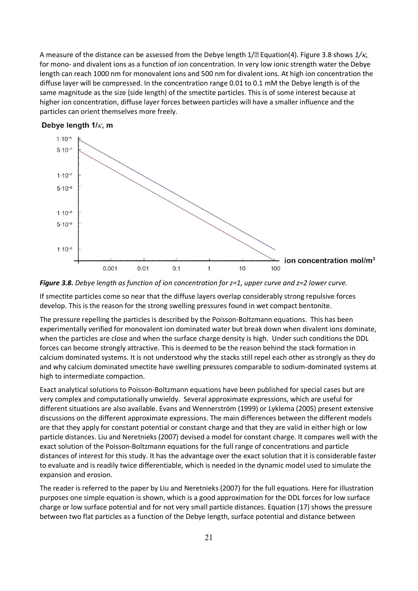A measure of the distance can be assessed from the Debye length  $1/\sqrt{2}$  Equation(4). Figure 3.8 shows  $1/\kappa$ , for mono- and divalent ions as a function of ion concentration. In very low ionic strength water the Debye length can reach 1000 nm for monovalent ions and 500 nm for divalent ions. At high ion concentration the diffuse layer will be compressed. In the concentration range 0.01 to 0.1 mM the Debye length is of the same magnitude as the size (side length) of the smectite particles. This is of some interest because at higher ion concentration, diffuse layer forces between particles will have a smaller influence and the particles can orient themselves more freely.







If smectite particles come so near that the diffuse layers overlap considerably strong repulsive forces develop. This is the reason for the strong swelling pressures found in wet compact bentonite.

The pressure repelling the particles is described by the Poisson-Boltzmann equations. This has been experimentally verified for monovalent ion dominated water but break down when divalent ions dominate, when the particles are close and when the surface charge density is high. Under such conditions the DDL forces can become strongly attractive. This is deemed to be the reason behind the stack formation in calcium dominated systems. It is not understood why the stacks still repel each other as strongly as they do and why calcium dominated smectite have swelling pressures comparable to sodium-dominated systems at high to intermediate compaction.

Exact analytical solutions to Poisson-Boltzmann equations have been published for special cases but are very complex and computationally unwieldy. Several approximate expressions, which are useful for different situations are also available. Evans and Wennerström (1999) or Lyklema (2005) present extensive discussions on the different approximate expressions. The main differences between the different models are that they apply for constant potential or constant charge and that they are valid in either high or low particle distances. Liu and Neretnieks (2007) devised a model for constant charge. It compares well with the exact solution of the Poisson-Boltzmann equations for the full range of concentrations and particle distances of interest for this study. It has the advantage over the exact solution that it is considerable faster to evaluate and is readily twice differentiable, which is needed in the dynamic model used to simulate the expansion and erosion.

The reader is referred to the paper by Liu and Neretnieks (2007) for the full equations. Here for illustration purposes one simple equation is shown, which is a good approximation for the DDL forces for low surface charge or low surface potential and for not very small particle distances. Equation (17) shows the pressure between two flat particles as a function of the Debye length, surface potential and distance between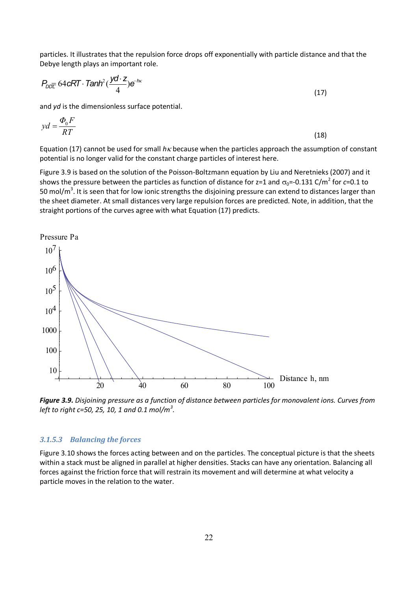particles. It illustrates that the repulsion force drops off exponentially with particle distance and that the Debye length plays an important role.

$$
P_{\text{DDE}} 64 \text{cRT} \cdot \text{Tanh}^2(\frac{\text{yd} \cdot z}{4}) e^{-\hbar x}
$$

and yd is the dimensionless surface potential.

$$
yd = \frac{\Phi_0 F}{RT}
$$
 (18)

Equation (17) cannot be used for small  $h\kappa$  because when the particles approach the assumption of constant potential is no longer valid for the constant charge particles of interest here.

Figure 3.9 is based on the solution of the Poisson-Boltzmann equation by Liu and Neretnieks (2007) and it shows the pressure between the particles as function of distance for z=1 and  $\sigma_0$ =-0.131 C/m<sup>2</sup> for c=0.1 to 50 mol/m<sup>3</sup>. It is seen that for low ionic strengths the disjoining pressure can extend to distances larger than the sheet diameter. At small distances very large repulsion forces are predicted. Note, in addition, that the straight portions of the curves agree with what Equation (17) predicts.



Figure 3.9. Disjoining pressure as a function of distance between particles for monovalent ions. Curves from left to right c=50, 25, 10, 1 and 0.1 mol/m<sup>3</sup>.

#### 3.1.5.3 Balancing the forces

Figure 3.10 shows the forces acting between and on the particles. The conceptual picture is that the sheets within a stack must be aligned in parallel at higher densities. Stacks can have any orientation. Balancing all forces against the friction force that will restrain its movement and will determine at what velocity a particle moves in the relation to the water.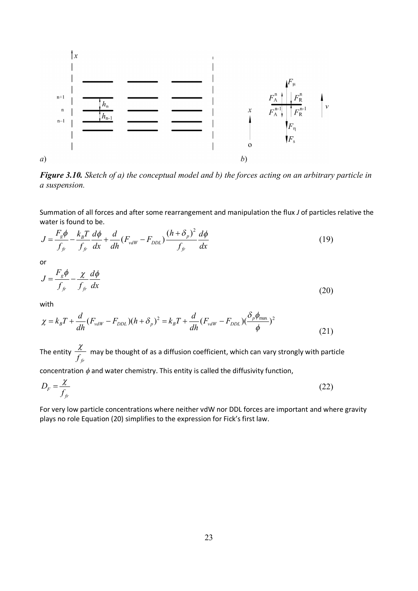

**Figure 3.10.** Sketch of a) the conceptual model and b) the forces acting on an arbitrary particle in a suspension.

Summation of all forces and after some rearrangement and manipulation the flux J of particles relative the water is found to be.

$$
J = \frac{F_g \phi}{f_{fr}} - \frac{k_B T}{f_{fr}} \frac{d\phi}{dx} + \frac{d}{dh} (F_{vdW} - F_{DDL}) \frac{(h + \delta_p)^2}{f_{fr}} \frac{d\phi}{dx}
$$
(19)

or

$$
J = \frac{F_g \phi}{f_{fr}} - \frac{\chi}{f_{fr}} \frac{d\phi}{dx}
$$
 (20)

with

$$
\chi = k_B T + \frac{d}{dh} (F_{vdW} - F_{DDL}) (h + \delta_p)^2 = k_B T + \frac{d}{dh} (F_{vdW} - F_{DDL}) (\frac{\delta_p \phi_{max}}{\phi})^2
$$
\n(21)

The entity  $\frac{\chi}{f_{fr}}$  may be thought of as a diffusion coefficient, which can vary strongly with particle

concentration  $\phi$  and water chemistry. This entity is called the diffusivity function,

$$
D_F = \frac{\chi}{f_{fr}} \tag{22}
$$

For very low particle concentrations where neither vdW nor DDL forces are important and where gravity plays no role Equation (20) simplifies to the expression for Fick's first law.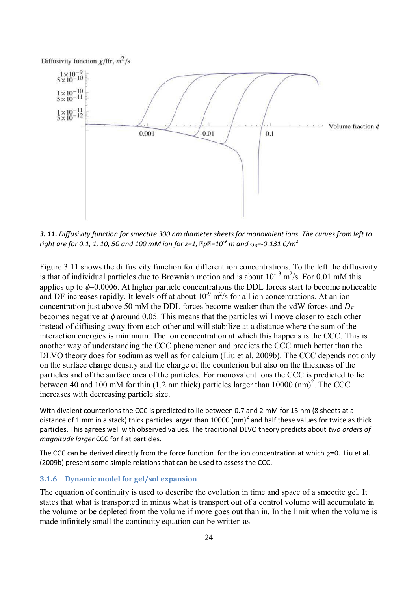

3. 11. Diffusivity function for smectite 300 nm diameter sheets for monovalent ions. The curves from left to *m i* and the for 0.1, 1, 10, 50 and 100 mM ion for z=1.  $\ln 2^{9}$  m and  $\sigma_0 = 0.131$  C/m<sup>2</sup>

Figure 3.11 shows the diffusivity function for different ion concentrations. To the left the diffusivity is that of individual particles due to Brownian motion and is about  $10^{-13}$  m<sup>2</sup>/s. For 0.01 mM this applies up to  $\phi$ =0.0006. At higher particle concentrations the DDL forces start to become noticeable and DF increases rapidly. It levels off at about  $10^{-9}$  m<sup>2</sup>/s for all ion concentrations. At an ion concentration just above 50 mM the DDL forces become weaker than the vdW forces and  $D_F$ becomes negative at  $\phi$  around 0.05. This means that the particles will move closer to each other instead of diffusing away from each other and will stabilize at a distance where the sum of the interaction energies is minimum. The ion concentration at which this happens is the CCC. This is another way of understanding the CCC phenomenon and predicts the CCC much better than the DLVO theory does for sodium as well as for calcium (Liu et al. 2009b). The CCC depends not only on the surface charge density and the charge of the counterion but also on the thickness of the particles and of the surface area of the particles. For monovalent ions the CCC is predicted to lie between 40 and 100 mM for thin  $(1.2 \text{ nm}$  thick) particles larger than 10000  $(\text{nm})^2$ . The CCC increases with decreasing particle size.

With divalent counterions the CCC is predicted to lie between 0.7 and 2 mM for 15 nm (8 sheets at a distance of 1 mm in a stack) thick particles larger than 10000 (nm)<sup>2</sup> and half these values for twice as thick particles. This agrees well with observed values. The traditional DLVO theory predicts about two orders of *magnitude larger* CCC for flat particles.

The CCC can be derived directly from the force function for the ion concentration at which  $\chi$ =0. Liu et al.  $(2009b)$  present some simple relations that can be used to assess the CCC.

#### **3.1.6** Dynamic model for gel/sol expansion

The equation of continuity is used to describe the evolution in time and space of a smectite gel. It states that what is transported in minus what is transport out of a control volume will accumulate in the volume or be depleted from the volume if more goes out than in. In the limit when the volume is made infinitely small the continuity equation can be written as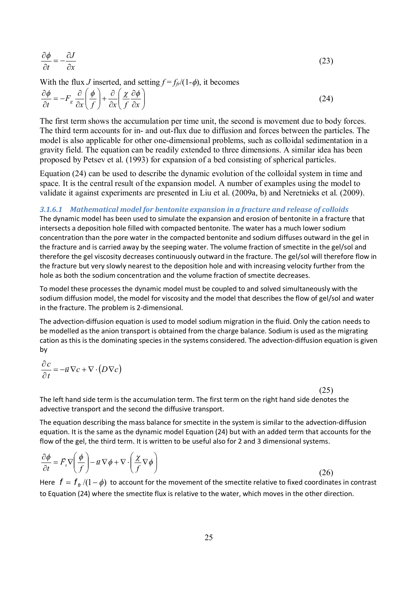$$
\frac{\partial \phi}{\partial t} = -\frac{\partial J}{\partial x} \tag{23}
$$

With the flux *J* inserted, and setting  $f = f_{f}/(1-\phi)$ , it becomes

$$
\frac{\partial \phi}{\partial t} = -F_s \frac{\partial}{\partial x} \left( \frac{\phi}{f} \right) + \frac{\partial}{\partial x} \left( \frac{\chi}{f} \frac{\partial \phi}{\partial x} \right)
$$
(24)

The first term shows the accumulation per time unit, the second is movement due to body forces. The third term accounts for in- and out-flux due to diffusion and forces between the particles. The model is also applicable for other one-dimensional problems, such as colloidal sedimentation in a gravity field. The equation can be readily extended to three dimensions. A similar idea has been proposed by Petsev et al. (1993) for expansion of a bed consisting of spherical particles.

Equation (24) can be used to describe the dynamic evolution of the colloidal system in time and space. It is the central result of the expansion model. A number of examples using the model to validate it against experiments are presented in Liu et al. (2009a, b) and Neretnieks et al. (2009).

3.1.6.1 Mathematical model for bentonite expansion in a fracture and release of colloids The dynamic model has been used to simulate the expansion and erosion of bentonite in a fracture that intersects a deposition hole filled with compacted bentonite. The water has a much lower sodium concentration than the pore water in the compacted bentonite and sodium diffuses outward in the gel in the fracture and is carried away by the seeping water. The volume fraction of smectite in the gel/sol and therefore the gel viscosity decreases continuously outward in the fracture. The gel/sol will therefore flow in the fracture but very slowly nearest to the deposition hole and with increasing velocity further from the hole as both the sodium concentration and the volume fraction of smectite decreases.

To model these processes the dynamic model must be coupled to and solved simultaneously with the sodium diffusion model, the model for viscosity and the model that describes the flow of gel/sol and water in the fracture. The problem is 2-dimensional.

The advection-diffusion equation is used to model sodium migration in the fluid. Only the cation needs to be modelled as the anion transport is obtained from the charge balance. Sodium is used as the migrating cation as this is the dominating species in the systems considered. The advection-diffusion equation is given by

$$
\frac{\partial c}{\partial t} = -\vec{u}\,\nabla c + \nabla \cdot (D\nabla c)
$$

(25)

The left hand side term is the accumulation term. The first term on the right hand side denotes the advective transport and the second the diffusive transport.

The equation describing the mass balance for smectite in the system is similar to the advection-diffusion equation. It is the same as the dynamic model Equation (24) but with an added term that accounts for the flow of the gel, the third term. It is written to be useful also for 2 and 3 dimensional systems.

$$
\frac{\partial \phi}{\partial t} = \vec{F}_s \nabla \left( \frac{\phi}{f} \right) - i \vec{v} \nabla \phi + \nabla \cdot \left( \frac{\chi}{f} \nabla \phi \right)
$$
\n(26)

Here  $f = f_{f\!r}$  /(1 -  $\phi$ ) to account for the movement of the smectite relative to fixed coordinates in contrast to Equation (24) where the smectite flux is relative to the water, which moves in the other direction.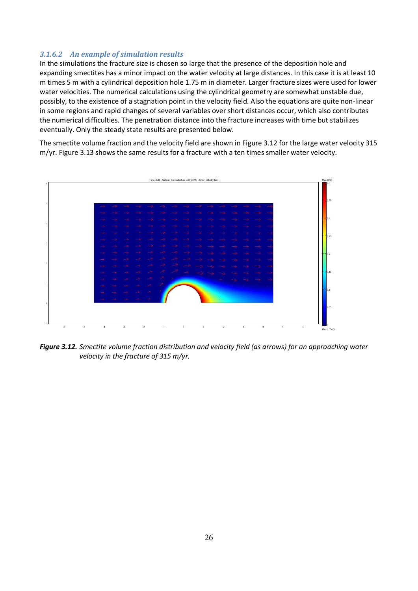#### 3.1.6.2 An example of simulation results

In the simulations the fracture size is chosen so large that the presence of the deposition hole and expanding smectites has a minor impact on the water velocity at large distances. In this case it is at least 10 m times 5 m with a cylindrical deposition hole 1.75 m in diameter. Larger fracture sizes were used for lower water velocities. The numerical calculations using the cylindrical geometry are somewhat unstable due, possibly, to the existence of a stagnation point in the velocity field. Also the equations are quite non-linear in some regions and rapid changes of several variables over short distances occur, which also contributes the numerical difficulties. The penetration distance into the fracture increases with time but stabilizes eventually. Only the steady state results are presented below.

The smectite volume fraction and the velocity field are shown in Figure 3.12 for the large water velocity 315 m/yr. Figure 3.13 shows the same results for a fracture with a ten times smaller water velocity.



Figure 3.12. Smectite volume fraction distribution and velocity field (as arrows) for an approaching water velocity in the fracture of 315 m/yr.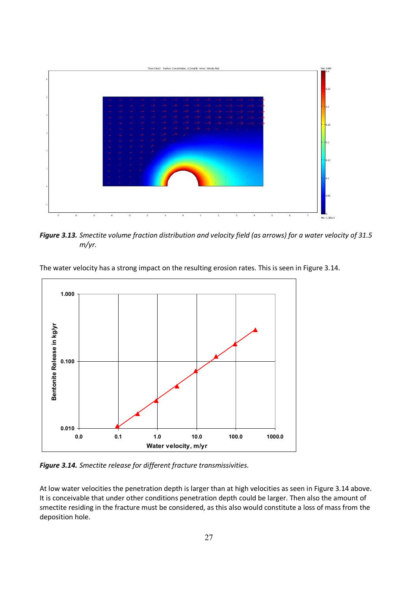

*Figure 3.13. Smectite volume fraction distribution and velocity field (as arrows) for a water velocity of 31.5 m/yr.* 



The water velocity has a strong impact on the resulting erosion rates. This is seen in Figure 3.14.

**Figure 3.14.** Smectite release for different fracture transmissivities.

At low water velocities the penetration depth is larger than at high velocities as seen in Figure 3.14 above. It is conceivable that under other conditions penetration depth could be larger. Then also the amount of smectite residing in the fracture must be considered, as this also would constitute a loss of mass from the deposition hole.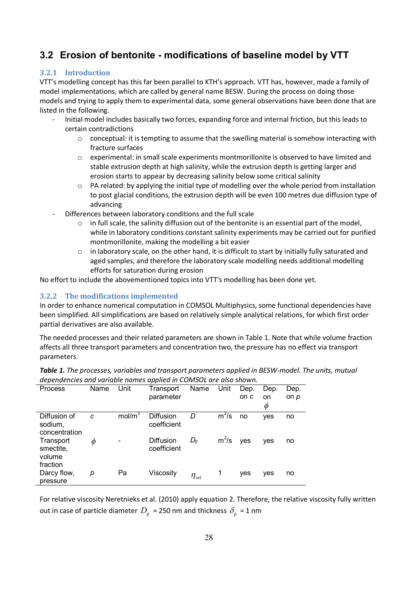## **3.2 Erosion of bentonite - modifications of baseline model by VTT**

#### **3.2.1** Introduction

VTT's modelling concept has this far been parallel to KTH's approach. VTT has, however, made a family of model implementations, which are called by general name BESW. During the process on doing those models and trying to apply them to experimental data, some general observations have been done that are listed in the following.

- Initial model includes basically two forces, expanding force and internal friction, but this leads to certain contradictions
	- $\circ$  conceptual: it is tempting to assume that the swelling material is somehow interacting with fracture surfaces
	- $\circ$  experimental: in small scale experiments montmorillonite is observed to have limited and stable extrusion depth at high salinity, while the extrusion depth is getting larger and erosion starts to appear by decreasing salinity below some critical salinity
	- $\circ$  PA related: by applying the initial type of modelling over the whole period from installation to post glacial conditions, the extrusion depth will be even 100 metres due diffusion type of advancing
- Differences between laboratory conditions and the full scale
	- $\circ$  in full scale, the salinity diffusion out of the bentonite is an essential part of the model, while in laboratory conditions constant salinity experiments may be carried out for purified montmorillonite, making the modelling a bit easier
	- $\circ$  in laboratory scale, on the other hand, it is difficult to start by initially fully saturated and aged samples, and therefore the laboratory scale modelling needs additional modelling efforts for saturation during erosion

No effort to include the abovementioned topics into VTT's modelling has been done yet.

#### **3.2.2** The modifications implemented

In order to enhance numerical computation in COMSOL Multiphysics, some functional dependencies have been simplified. All simplifications are based on relatively simple analytical relations, for which first order partial derivatives are also available.

The needed processes and their related parameters are shown in Table 1. Note that while volume fraction affects all three transport parameters and concentration two, the pressure has no effect via transport parameters.

| dependencies dina variable hannes applied in CONSOL die diso shown. |      |                    |                          |                  |         |      |            |      |
|---------------------------------------------------------------------|------|--------------------|--------------------------|------------------|---------|------|------------|------|
| <b>Process</b>                                                      | Name | Unit               | Transport                | Name             | Unit    | Dep. | Dep.       | Dep. |
|                                                                     |      |                    | parameter                |                  |         | on c | on         | on p |
|                                                                     |      |                    |                          |                  |         |      | Φ          |      |
| Diffusion of<br>sodium,<br>concentration                            | C    | mol/m <sup>3</sup> | Diffusion<br>coefficient | D                | $m^2/s$ | no   | yes        | no   |
| Transport<br>smectite.<br>volume<br>fraction                        | Ф    |                    | Diffusion<br>coefficient | $D_{\rm F}$      | $m^2/s$ | ves  | <b>ves</b> | no   |
| Darcy flow,<br>pressure                                             | р    | Pa                 | Viscosity                | $\eta_{\rm rel}$ | 1       | yes  | yes        | no   |

**Table 1.** The processes, variables and transport parameters applied in BESW-model. The units, mutual dependencies and variable names annlied in COMSOL are also shown

For relative viscosity Neretnieks et al. (2010) apply equation 2. Therefore, the relative viscosity fully written out in case of particle diameter  $D_\mathrm{p}$  = 250 nm and thickness  $\delta_\mathrm{p}$  = 1 nm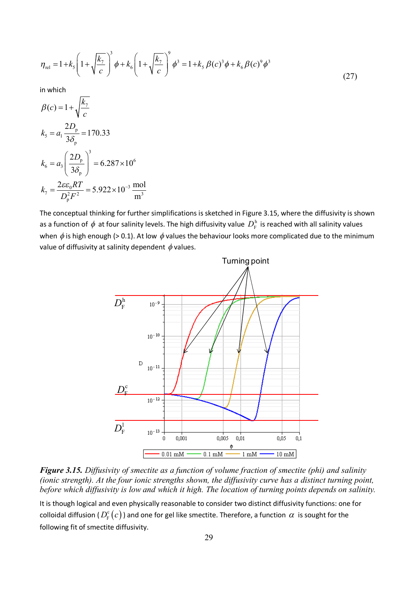$$
\eta_{\text{rel}} = 1 + k_{\text{s}} \left( 1 + \sqrt{\frac{k_{\gamma}}{c}} \right)^{3} \phi + k_{\text{s}} \left( 1 + \sqrt{\frac{k_{\gamma}}{c}} \right)^{9} \phi^{3} = 1 + k_{\text{s}} \beta(c)^{3} \phi + k_{\text{b}} \beta(c)^{9} \phi^{3} \tag{27}
$$

in which

$$
\beta(c) = 1 + \sqrt{\frac{k_{7}}{c}}
$$
  
\n
$$
k_{5} = a_{1} \frac{2D_{p}}{3\delta_{p}} = 170.33
$$
  
\n
$$
k_{6} = a_{3} \left(\frac{2D_{p}}{3\delta_{p}}\right)^{3} = 6.287 \times 10^{6}
$$
  
\n
$$
k_{7} = \frac{2\varepsilon \varepsilon_{0}RT}{D_{p}^{2}F^{2}} = 5.922 \times 10^{-3} \frac{\text{mol}}{\text{m}^{3}}
$$

The conceptual thinking for further simplifications is sketched in Figure 3.15, where the diffusivity is shown as a function of  $\phi$  at four salinity levels. The high diffusivity value  $D_{\rm F}^{\rm h}$  is reached with all salinity values when  $\phi$  is high enough (> 0.1). At low  $\phi$  values the behaviour looks more complicated due to the minimum value of diffusivity at salinity dependent  $\phi$  values.



Figure 3.15. Diffusivity of smectite as a function of volume fraction of smectite (phi) and salinity (ionic strength). At the four ionic strengths shown, the diffusivity curve has a distinct turning point, before which diffusivity is low and which it high. The location of turning points depends on salinity.

It is though logical and even physically reasonable to consider two distinct diffusivity functions: one for colloidal diffusion ( $D_F^c(c)$ ) and one for gel like smectite. Therefore, a function  $\alpha$  is sought for the following fit of smectite diffusivity.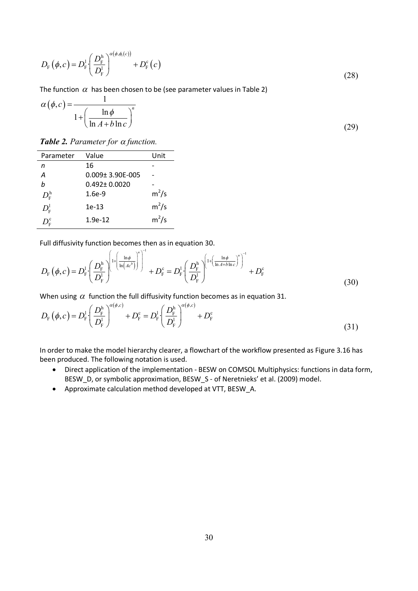$$
D_{\rm F}\left(\phi,c\right) = D_{\rm F}^1 \left(\frac{D_{\rm F}^{\rm h}}{D_{\rm F}^1}\right)^{\alpha\left(\phi,\phi_{\rm t}(c)\right)} + D_{\rm F}^{\rm c}\left(c\right) \tag{28}
$$

The function  $\alpha$  has been chosen to be (see parameter values in Table 2)

$$
\alpha(\phi, c) = \frac{1}{1 + \left(\frac{\ln \phi}{\ln A + b \ln c}\right)^n}
$$
\n(29)

**Table 2.** Parameter for  $\alpha$  function.

| Parameter                                                  | Value                   | Unit    |
|------------------------------------------------------------|-------------------------|---------|
| n                                                          | 16                      |         |
| A                                                          | $0.009 \pm 3.90E - 005$ |         |
| h                                                          | $0.492 \pm 0.0020$      |         |
| $D_{\textrm{\tiny E}}^{\textrm{\tiny h}}$                  | $1.6e-9$                | $m^2/s$ |
| $D_{\scriptscriptstyle \mathrm{F}}^{\scriptscriptstyle 1}$ | 1e-13                   | $m^2/s$ |
| $D_{\textrm{\tiny{F}}}^{\textrm{c}}$                       | $1.9e-12$               | $m^2/s$ |

Full diffusivity function becomes then as in equation 30.

$$
D_{\rm F}\left(\phi,c\right) = D_{\rm F}^{\rm l}\left(\frac{D_{\rm F}^{\rm h}}{D_{\rm F}^{\rm l}}\right)^{\left[1+\left(\frac{\ln\phi}{\ln\left(Ac^b\right)}\right)^n\right]^{\rm -1}} + D_{\rm F}^{\rm c} = D_{\rm F}^{\rm l}\left(\frac{D_{\rm F}^{\rm h}}{D_{\rm F}^{\rm l}}\right)^{\left[1+\left(\frac{\ln\phi}{\ln A+b\ln c}\right)^n\right]^{\rm -1}} + D_{\rm F}^{\rm c}
$$
\n(30)

When using  $\alpha$  function the full diffusivity function becomes as in equation 31.

$$
D_{\rm F}(\phi, c) = D_{\rm F}^{\rm l} \left( \frac{D_{\rm F}^{\rm h}}{D_{\rm F}^{\rm l}} \right)^{\alpha(\phi, c)} + D_{\rm F}^{\rm c} = D_{\rm F}^{\rm l} \left( \frac{D_{\rm F}^{\rm h}}{D_{\rm F}^{\rm l}} \right)^{\alpha(\phi, c)} + D_{\rm F}^{\rm c}
$$
(31)

In order to make the model hierarchy clearer, a flowchart of the workflow presented as Figure 3.16 has been produced. The following notation is used.

- Direct application of the implementation BESW on COMSOL Multiphysics: functions in data form, BESW\_D, or symbolic approximation, BESW\_S - of Neretnieks' et al. (2009) model.
- Approximate calculation method developed at VTT, BESW\_A.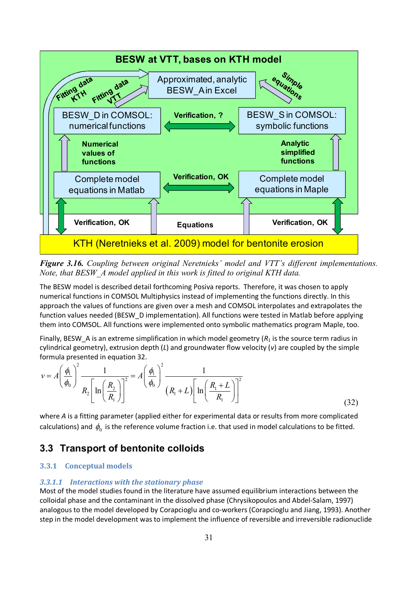

*Figure 3.16.* Coupling between original Neretnieks' model and VTT's different implementations. *Note, that BESW A model applied in this work is fitted to original KTH data.* 

The BESW model is described detail forthcoming Posiva reports. Therefore, it was chosen to apply numerical functions in COMSOL Multiphysics instead of implementing the functions directly. In this  $\kappa$ approach the values of functions are given over a mesh and COMSOL interpolates and extrapolates the function values needed (BESW D implementation). All functions were tested in Matlab before applying them into COMSOL. All functions were implemented onto symbolic mathematics program Maple, too.

Finally, BESW A is an extreme simplification in which model geometry  $(R_1)$  is the source term radius in cylindrical geometry), extrusion depth (L) and groundwater flow velocity (v) are coupled by the simple formula presented in equation 32.

$$
v = A \left(\frac{\phi_1}{\phi_0}\right)^2 \frac{1}{R_2 \left[\ln\left(\frac{R_2}{R_1}\right)\right]^2} = A \left(\frac{\phi_1}{\phi_0}\right)^2 \frac{1}{\left(R_1 + L\right) \left[\ln\left(\frac{R_1 + L}{R_1}\right)\right]^2}
$$
(32)

where A is a fitting parameter (applied either for experimental data or results from more complicated calculations) and  $\,\phi_{\!_0}\,$  is the reference volume fraction i.e. that used in model calculations to be fitted.

### **3.3 Transport of bentonite colloids**

#### **3.3.1** Conceptual models

#### 3.3.1.1 Interactions with the stationary phase

Most of the model studies found in the literature have assumed equilibrium interactions between the  $\alpha$ colloidal phase and the contaminant in the dissolved phase (Chrysikopoulos and Abdel-Salam, 1997) analogous to the model developed by Corapcioglu and co-workers (Corapcioglu and Jiang, 1993). Another step in the model development was to implement the influence of reversible and irreversible radionuclide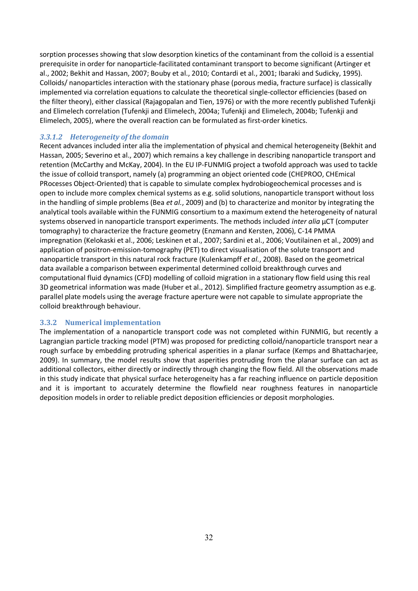sorption processes showing that slow desorption kinetics of the contaminant from the colloid is a essential prerequisite in order for nanoparticle-facilitated contaminant transport to become significant (Artinger et al., 2002; Bekhit and Hassan, 2007; Bouby et al., 2010; Contardi et al., 2001; Ibaraki and Sudicky, 1995). Colloids/nanoparticles interaction with the stationary phase (porous media, fracture surface) is classically implemented via correlation equations to calculate the theoretical single-collector efficiencies (based on the filter theory), either classical (Rajagopalan and Tien, 1976) or with the more recently published Tufenkji and Elimelech correlation (Tufenkji and Elimelech, 2004a; Tufenkji and Elimelech, 2004b; Tufenkji and Elimelech, 2005), where the overall reaction can be formulated as first-order kinetics.

#### 3.3.1.2 Heterogeneity of the domain

Recent advances included inter alia the implementation of physical and chemical heterogeneity (Bekhit and Hassan, 2005; Severino et al., 2007) which remains a key challenge in describing nanoparticle transport and retention (McCarthy and McKay, 2004). In the EU IP-FUNMIG project a twofold approach was used to tackle the issue of colloid transport, namely (a) programming an object oriented code (CHEPROO, CHEmical PRocesses Object-Oriented) that is capable to simulate complex hydrobiogeochemical processes and is open to include more complex chemical systems as e.g. solid solutions, nanoparticle transport without loss in the handling of simple problems (Bea et al., 2009) and (b) to characterize and monitor by integrating the analytical tools available within the FUNMIG consortium to a maximum extend the heterogeneity of natural systems observed in nanoparticle transport experiments. The methods included *inter alia* µCT (computer tomography) to characterize the fracture geometry (Enzmann and Kersten, 2006), C-14 PMMA impregnation (Kelokaski et al., 2006; Leskinen et al., 2007; Sardini et al., 2006; Voutilainen et al., 2009) and application of positron-emission-tomography (PET) to direct visualisation of the solute transport and nanoparticle transport in this natural rock fracture (Kulenkampff et al., 2008). Based on the geometrical data available a comparison between experimental determined colloid breakthrough curves and computational fluid dynamics (CFD) modelling of colloid migration in a stationary flow field using this real 3D geometrical information was made (Huber et al., 2012). Simplified fracture geometry assumption as e.g. parallel plate models using the average fracture aperture were not capable to simulate appropriate the colloid breakthrough behaviour.

#### 3.3.2 Numerical implementation

The implementation of a nanoparticle transport code was not completed within FUNMIG, but recently a Lagrangian particle tracking model (PTM) was proposed for predicting colloid/nanoparticle transport near a rough surface by embedding protruding spherical asperities in a planar surface (Kemps and Bhattacharjee, 2009). In summary, the model results show that asperities protruding from the planar surface can act as additional collectors, either directly or indirectly through changing the flow field. All the observations made in this study indicate that physical surface heterogeneity has a far reaching influence on particle deposition and it is important to accurately determine the flowfield near roughness features in nanoparticle deposition models in order to reliable predict deposition efficiencies or deposit morphologies.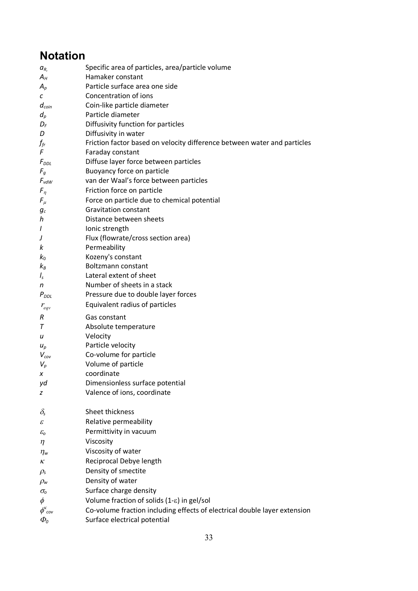# **Notation**

| $a_{R}$                          | Specific area of particles, area/particle volume                          |
|----------------------------------|---------------------------------------------------------------------------|
| $A_H$                            | Hamaker constant                                                          |
| $A_p$                            | Particle surface area one side                                            |
| C                                | Concentration of ions                                                     |
| $d_{coin}$                       | Coin-like particle diameter                                               |
| $d_p$                            | Particle diameter                                                         |
| $D_F$                            | Diffusivity function for particles                                        |
| D                                | Diffusivity in water                                                      |
| $f_{\it fr}$                     | Friction factor based on velocity difference between water and particles  |
| F                                | Faraday constant                                                          |
| $F_{DDL}$                        | Diffuse layer force between particles                                     |
| $F_g$                            | Buoyancy force on particle                                                |
| $F_{vdW}$                        | van der Waal's force between particles                                    |
| $F_{\eta}$                       | Friction force on particle                                                |
| $F_\mu$                          | Force on particle due to chemical potential                               |
| $g_c$                            | <b>Gravitation constant</b>                                               |
| h                                | Distance between sheets                                                   |
| I                                | Ionic strength                                                            |
| J                                | Flux (flowrate/cross section area)                                        |
| k                                | Permeability                                                              |
| $k_0$                            | Kozeny's constant                                                         |
| $k_B$                            | Boltzmann constant                                                        |
| $I_{s}$                          | Lateral extent of sheet                                                   |
| n                                | Number of sheets in a stack                                               |
| $P_{DDL}$                        | Pressure due to double layer forces                                       |
| $r_{eqv}$                        | Equivalent radius of particles                                            |
| R                                | Gas constant                                                              |
| $\tau$                           | Absolute temperature                                                      |
| u                                | Velocity                                                                  |
| $u_p$                            | Particle velocity                                                         |
| $V_{cov}$                        | Co-volume for particle                                                    |
| $V_p$                            | Volume of particle                                                        |
| х                                | coordinate                                                                |
| уd                               | Dimensionless surface potential                                           |
| z                                | Valence of ions, coordinate                                               |
|                                  |                                                                           |
| $\delta_{\rm s}$                 | Sheet thickness                                                           |
| ε                                | Relative permeability                                                     |
| $\mathcal{E}_o$                  | Permittivity in vacuum                                                    |
| η                                | Viscosity                                                                 |
| $\eta_w$                         | Viscosity of water                                                        |
| κ                                | Reciprocal Debye length                                                   |
| $\rho_{\rm s}$                   | Density of smectite                                                       |
| $\rho_\mathsf{w}$                | Density of water                                                          |
| $\sigma_{\!o}$                   | Surface charge density                                                    |
| $\phi$                           | Volume fraction of solids (1-8) in gel/sol                                |
| $\phi_{\text{cov}}^{\kappa}$     | Co-volume fraction including effects of electrical double layer extension |
| $\varPhi_{\scriptscriptstyle 0}$ | Surface electrical potential                                              |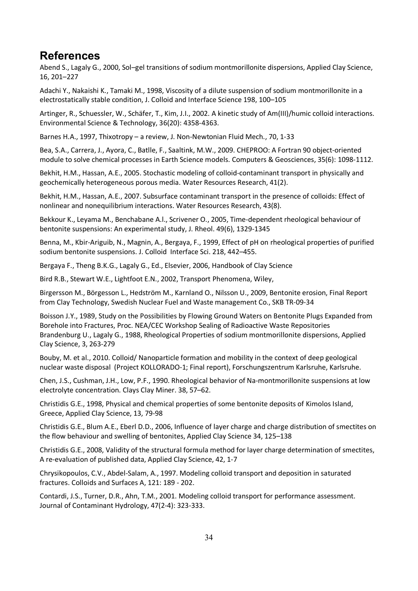## **References**

Abend S., Lagaly G., 2000, Sol-gel transitions of sodium montmorillonite dispersions, Applied Clay Science, 16, 201-227

Adachi Y., Nakaishi K., Tamaki M., 1998, Viscosity of a dilute suspension of sodium montmorillonite in a electrostatically stable condition, J. Colloid and Interface Science 198, 100-105

Artinger, R., Schuessler, W., Schäfer, T., Kim, J.I., 2002. A kinetic study of Am(III)/humic colloid interactions. Environmental Science & Technology, 36(20): 4358-4363.

Barnes H.A., 1997, Thixotropy - a review, J. Non-Newtonian Fluid Mech., 70, 1-33

Bea, S.A., Carrera, J., Avora, C., Batlle, F., Saaltink, M.W., 2009, CHEPROO: A Fortran 90 object-oriented module to solve chemical processes in Earth Science models. Computers & Geosciences, 35(6): 1098-1112.

Bekhit, H.M., Hassan, A.E., 2005. Stochastic modeling of colloid-contaminant transport in physically and geochemically heterogeneous porous media. Water Resources Research, 41(2).

Bekhit, H.M., Hassan, A.E., 2007. Subsurface contaminant transport in the presence of colloids: Effect of nonlinear and nonequilibrium interactions. Water Resources Research, 43(8).

Bekkour K., Leyama M., Benchabane A.l., Scrivener O., 2005, Time-dependent rheological behaviour of bentonite suspensions: An experimental study, J. Rheol. 49(6), 1329-1345

Benna, M., Kbir-Ariguib, N., Magnin, A., Bergaya, F., 1999, Effect of pH on rheological properties of purified sodium bentonite suspensions. J. Colloid Interface Sci. 218, 442-455.

Bergaya F., Theng B.K.G., Lagaly G., Ed., Elsevier, 2006. Handbook of Clay Science

Bird R.B., Stewart W.E., Lightfoot E.N., 2002, Transport Phenomena, Wiley,

Birgersson M., Börgesson L., Hedström M., Karnland O., Nilsson U., 2009, Bentonite erosion, Final Report from Clay Technology, Swedish Nuclear Fuel and Waste management Co., SKB TR-09-34

Boisson J.Y., 1989, Study on the Possibilities by Flowing Ground Waters on Bentonite Plugs Expanded from Borehole into Fractures, Proc. NEA/CEC Workshop Sealing of Radioactive Waste Repositories Brandenburg U., Lagaly G., 1988, Rheological Properties of sodium montmorillonite dispersions, Applied Clay Science, 3, 263-279

Bouby, M. et al., 2010. Colloid/ Nanoparticle formation and mobility in the context of deep geological nuclear waste disposal (Project KOLLORADO-1; Final report), Forschungszentrum Karlsruhe, Karlsruhe.

Chen. J.S., Cushman, J.H., Low, P.F., 1990. Rheological behavior of Na-montmorillonite suspensions at low  $e$ lectrolyte concentration. Clays Clay Miner. 38, 57-62.

Christidis G.E., 1998, Physical and chemical properties of some bentonite deposits of Kimolos Island, Greece, Applied Clay Science, 13, 79-98

Christidis G.E., Blum A.E., Eberl D.D., 2006, Influence of layer charge and charge distribution of smectites on the flow behaviour and swelling of bentonites, Applied Clay Science 34, 125–138

Christidis G.E., 2008, Validity of the structural formula method for layer charge determination of smectites, A re-evaluation of published data, Applied Clay Science, 42, 1-7

Chrysikopoulos, C.V., Abdel-Salam, A., 1997. Modeling colloid transport and deposition in saturated fractures. Colloids and Surfaces A,  $121:189$  - 202.

Contardi, J.S., Turner, D.R., Ahn, T.M., 2001. Modeling colloid transport for performance assessment. Journal of Contaminant Hydrology, 47(2-4): 323-333.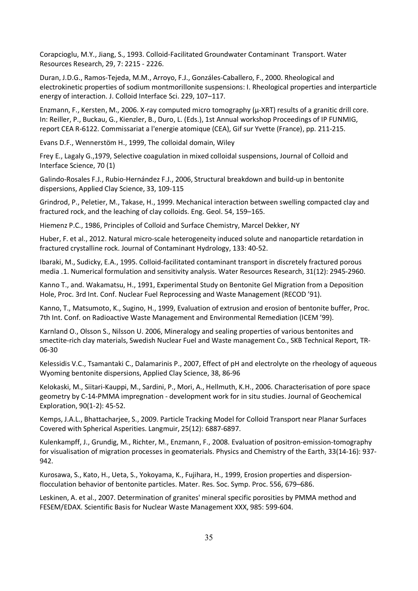Corapcioglu, M.Y., Jiang, S., 1993. Colloid-Facilitated Groundwater Contaminant Transport. Water Resources Research, 29, 7: 2215 - 2226.

Duran, J.D.G., Ramos-Tejeda, M.M., Arroyo, F.J., Gonzáles-Caballero, F., 2000. Rheological and electrokinetic properties of sodium montmorillonite suspensions: I. Rheological properties and interparticle energy of interaction. J. Colloid Interface Sci. 229, 107-117.

Enzmann, F., Kersten, M., 2006. X-ray computed micro tomography ( $\mu$ -XRT) results of a granitic drill core. In: Reiller, P., Buckau, G., Kienzler, B., Duro, L. (Eds.), 1st Annual workshop Proceedings of IP FUNMIG, report CEA R-6122. Commissariat a l'energie atomique (CEA), Gif sur Yvette (France), pp. 211-215.

Evans D.F., Wennerstöm H., 1999, The colloidal domain, Wiley

Frey E., Lagaly G., 1979, Selective coagulation in mixed colloidal suspensions, Journal of Colloid and Interface Science, 70 (1)

Galindo-Rosales F.J., Rubio-Hernández F.J., 2006, Structural breakdown and build-up in bentonite dispersions. Applied Clay Science, 33, 109-115

Grindrod, P., Peletier, M., Takase, H., 1999. Mechanical interaction between swelling compacted clay and fractured rock, and the leaching of clay colloids. Eng. Geol. 54, 159-165.

Hiemenz P.C., 1986, Principles of Colloid and Surface Chemistry, Marcel Dekker, NY

Huber, F. et al., 2012. Natural micro-scale heterogeneity induced solute and nanoparticle retardation in fractured crystalline rock. Journal of Contaminant Hydrology, 133: 40-52.

Ibaraki, M., Sudicky, E.A., 1995. Colloid-facilitated contaminant transport in discretely fractured porous media .1. Numerical formulation and sensitivity analysis. Water Resources Research, 31(12): 2945-2960.

Kanno T., and. Wakamatsu, H., 1991, Experimental Study on Bentonite Gel Migration from a Deposition Hole, Proc. 3rd Int. Conf. Nuclear Fuel Reprocessing and Waste Management (RECOD'91).

Kanno, T., Matsumoto, K., Sugino, H., 1999, Evaluation of extrusion and erosion of bentonite buffer, Proc. 7th Int. Conf. on Radioactive Waste Management and Environmental Remediation (ICEM '99).

Karnland O., Olsson S., Nilsson U. 2006, Mineralogy and sealing properties of various bentonites and smectite-rich clay materials, Swedish Nuclear Fuel and Waste management Co., SKB Technical Report, TR-06-30

Kelessidis V.C., Tsamantaki C., Dalamarinis P., 2007, Effect of pH and electrolyte on the rheology of aqueous Wyoming bentonite dispersions, Applied Clay Science, 38, 86-96

Kelokaski, M., Siitari-Kauppi, M., Sardini, P., Mori, A., Hellmuth, K.H., 2006. Characterisation of pore space geometry by C-14-PMMA impregnation - development work for in situ studies. Journal of Geochemical Exploration, 90(1-2): 45-52.

Kemps, J.A.L., Bhattacharjee, S., 2009. Particle Tracking Model for Colloid Transport near Planar Surfaces Covered with Spherical Asperities. Langmuir, 25(12): 6887-6897.

Kulenkampff, J., Grundig, M., Richter, M., Enzmann, F., 2008. Evaluation of positron-emission-tomography for visualisation of migration processes in geomaterials. Physics and Chemistry of the Earth, 33(14-16): 937-942.

Kurosawa, S., Kato, H., Ueta, S., Yokoyama, K., Fujihara, H., 1999, Erosion properties and dispersionflocculation behavior of bentonite particles. Mater. Res. Soc. Symp. Proc. 556, 679-686.

Leskinen, A. et al., 2007. Determination of granites' mineral specific porosities by PMMA method and FESEM/EDAX. Scientific Basis for Nuclear Waste Management XXX, 985: 599-604.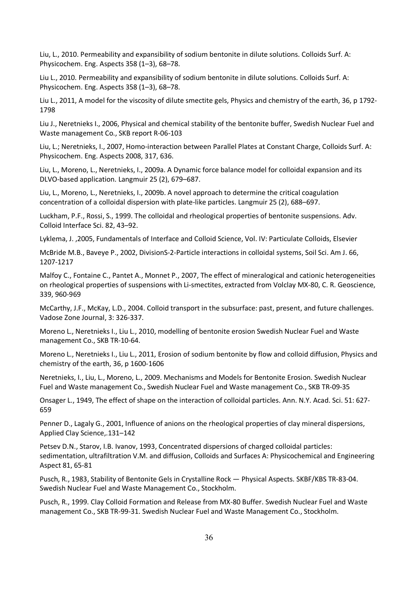Liu, L., 2010. Permeability and expansibility of sodium bentonite in dilute solutions. Colloids Surf. A: Physicochem. Eng. Aspects 358 (1-3), 68-78.

Liu L., 2010. Permeability and expansibility of sodium bentonite in dilute solutions. Colloids Surf. A: Physicochem. Eng. Aspects 358 (1-3), 68-78.

Liu L., 2011, A model for the viscosity of dilute smectite gels, Physics and chemistry of the earth, 36, p 1792-1798

Liu J., Neretnieks I., 2006, Physical and chemical stability of the bentonite buffer, Swedish Nuclear Fuel and Waste management Co., SKB report R-06-103

Liu, L.; Neretnieks, I., 2007, Homo-interaction between Parallel Plates at Constant Charge, Colloids Surf. A: Physicochem. Eng. Aspects 2008, 317, 636.

Liu, L., Moreno, L., Neretnieks, I., 2009a. A Dynamic force balance model for colloidal expansion and its DLVO-based application. Langmuir 25 (2), 679-687.

Liu, L., Moreno, L., Neretnieks, I., 2009b, A novel approach to determine the critical coagulation concentration of a colloidal dispersion with plate-like particles. Langmuir 25 (2),  $688-697$ .

Luckham, P.F., Rossi, S., 1999. The colloidal and rheological properties of bentonite suspensions. Adv. Colloid Interface Sci. 82, 43-92.

Lyklema, J. ,2005, Fundamentals of Interface and Colloid Science, Vol. IV: Particulate Colloids, Elsevier

McBride M.B., Baveye P., 2002, DivisionS-2-Particle interactions in colloidal systems, Soil Sci. Am J. 66, 1207-1217

Malfoy C., Fontaine C., Pantet A., Monnet P., 2007, The effect of mineralogical and cationic heterogeneities on rheological properties of suspensions with Li-smectites, extracted from Volclay MX-80, C. R. Geoscience, 339, 960-969

McCarthy, J.F., McKay, L.D., 2004. Colloid transport in the subsurface: past, present, and future challenges. Vadose Zone Journal, 3: 326-337.

Moreno L., Neretnieks I., Liu L., 2010, modelling of bentonite erosion Swedish Nuclear Fuel and Waste management Co., SKB TR-10-64.

Moreno L., Neretnieks I., Liu L., 2011, Erosion of sodium bentonite by flow and colloid diffusion, Physics and chemistry of the earth, 36, p  $1600-1606$ 

Neretnieks, I., Liu, L., Moreno, L., 2009. Mechanisms and Models for Bentonite Erosion. Swedish Nuclear Fuel and Waste management Co., Swedish Nuclear Fuel and Waste management Co., SKB TR-09-35

Onsager L., 1949, The effect of shape on the interaction of colloidal particles. Ann. N.Y. Acad. Sci. 51: 627-659

Penner D., Lagaly G., 2001, Influence of anions on the rheological properties of clay mineral dispersions, Applied Clay Science, 131-142

Petsev D.N., Starov, I.B. Ivanov, 1993, Concentrated dispersions of charged colloidal particles: sedimentation, ultrafiltration V.M. and diffusion, Colloids and Surfaces A: Physicochemical and Engineering Aspect 81, 65-81

Pusch, R., 1983, Stability of Bentonite Gels in Crystalline Rock - Physical Aspects. SKBF/KBS TR-83-04. Swedish Nuclear Fuel and Waste Management Co., Stockholm.

Pusch, R., 1999. Clay Colloid Formation and Release from MX-80 Buffer. Swedish Nuclear Fuel and Waste management Co., SKB TR-99-31. Swedish Nuclear Fuel and Waste Management Co., Stockholm.